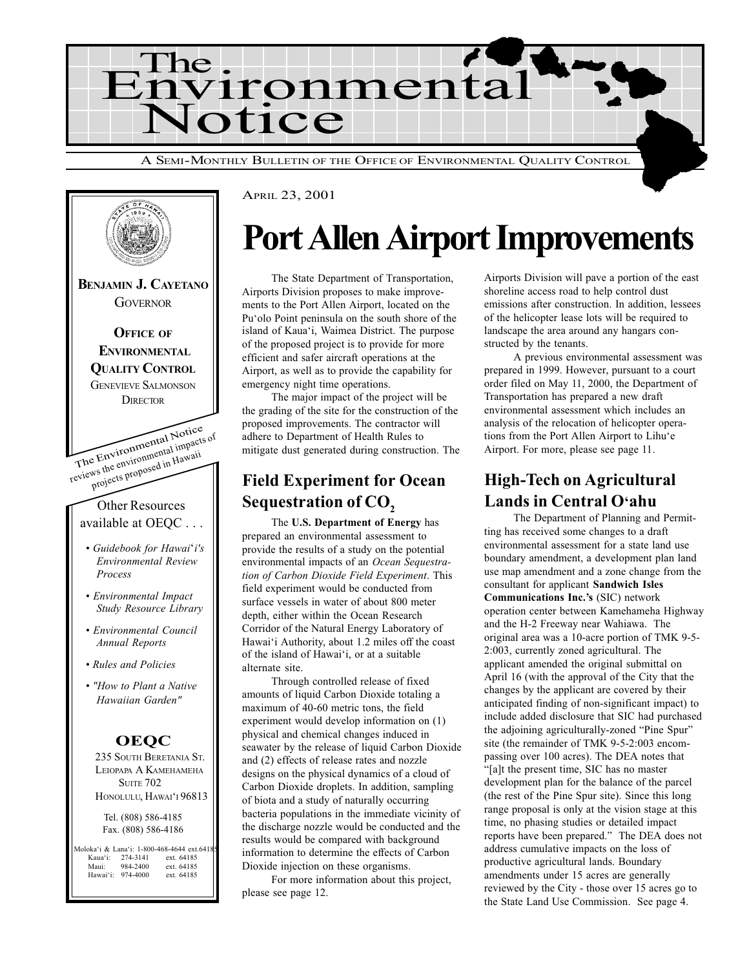



## Port Allen Airport Improvements

The State Department of Transportation, Airports Division proposes to make improvements to the Port Allen Airport, located on the Pu'olo Point peninsula on the south shore of the island of Kaua'i, Waimea District. The purpose of the proposed project is to provide for more efficient and safer aircraft operations at the Airport, as well as to provide the capability for emergency night time operations.

The major impact of the project will be the grading of the site for the construction of the proposed improvements. The contractor will adhere to Department of Health Rules to mitigate dust generated during construction. The

### Field Experiment for Ocean Sequestration of CO<sub>2</sub>

The U.S. Department of Energy has prepared an environmental assessment to provide the results of a study on the potential environmental impacts of an Ocean Sequestration of Carbon Dioxide Field Experiment. This field experiment would be conducted from surface vessels in water of about 800 meter depth, either within the Ocean Research Corridor of the Natural Energy Laboratory of Hawai'i Authority, about 1.2 miles off the coast of the island of Hawai'i, or at a suitable alternate site.

Through controlled release of fixed amounts of liquid Carbon Dioxide totaling a maximum of 40-60 metric tons, the field experiment would develop information on (1) physical and chemical changes induced in seawater by the release of liquid Carbon Dioxide and (2) effects of release rates and nozzle designs on the physical dynamics of a cloud of Carbon Dioxide droplets. In addition, sampling of biota and a study of naturally occurring bacteria populations in the immediate vicinity of the discharge nozzle would be conducted and the results would be compared with background information to determine the effects of Carbon Dioxide injection on these organisms.

For more information about this project, please see page 12.

Airports Division will pave a portion of the east shoreline access road to help control dust emissions after construction. In addition, lessees of the helicopter lease lots will be required to landscape the area around any hangars constructed by the tenants.

A previous environmental assessment was prepared in 1999. However, pursuant to a court order filed on May 11, 2000, the Department of Transportation has prepared a new draft environmental assessment which includes an analysis of the relocation of helicopter operations from the Port Allen Airport to Lihu'e Airport. For more, please see page 11.

### High-Tech on Agricultural Lands in Central O'ahu

The Department of Planning and Permitting has received some changes to a draft environmental assessment for a state land use boundary amendment, a development plan land use map amendment and a zone change from the consultant for applicant Sandwich Isles Communications Inc.'s (SIC) network operation center between Kamehameha Highway and the H-2 Freeway near Wahiawa. The original area was a 10-acre portion of TMK 9-5- 2:003, currently zoned agricultural. The applicant amended the original submittal on April 16 (with the approval of the City that the changes by the applicant are covered by their anticipated finding of non-significant impact) to include added disclosure that SIC had purchased the adjoining agriculturally-zoned "Pine Spur" site (the remainder of TMK 9-5-2:003 encompassing over 100 acres). The DEA notes that "[a]t the present time, SIC has no master development plan for the balance of the parcel (the rest of the Pine Spur site). Since this long range proposal is only at the vision stage at this time, no phasing studies or detailed impact reports have been prepared." The DEA does not address cumulative impacts on the loss of productive agricultural lands. Boundary amendments under 15 acres are generally reviewed by the City - those over 15 acres go to the State Land Use Commission. See page 4.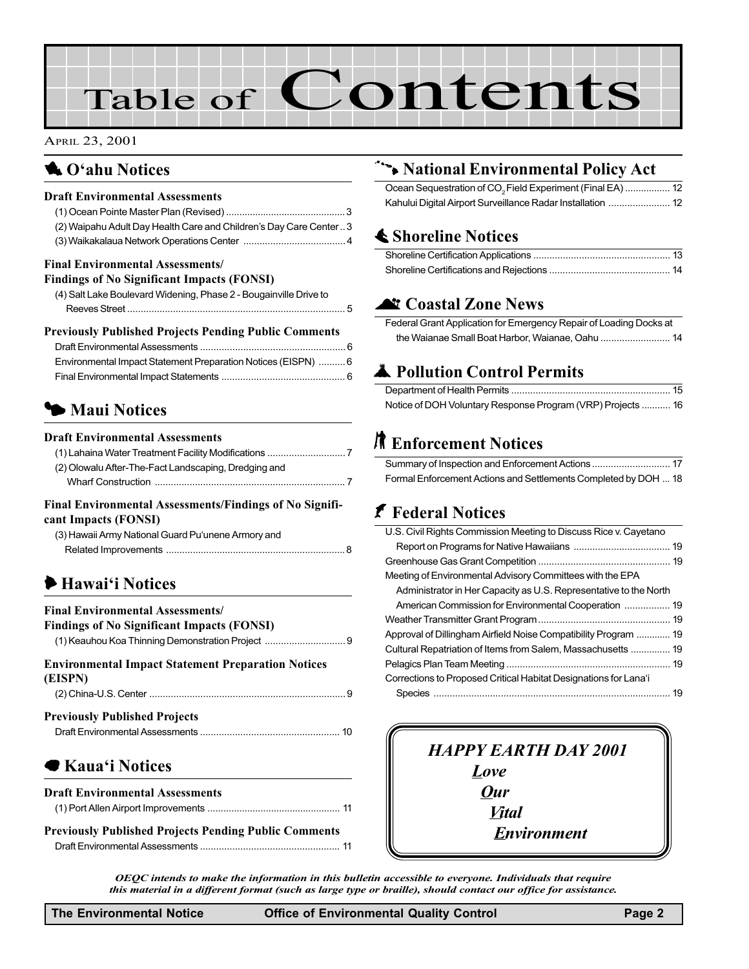# Table of Contents

#### APRIL 23, 2001

### **1** O'ahu Notices

#### Draft Environmental Assessments

| (2) Waipahu Adult Day Health Care and Children's Day Care Center3 |
|-------------------------------------------------------------------|
|                                                                   |

#### Final Environmental Assessments/

| <b>Findings of No Significant Impacts (FONSI)</b>                 |  |
|-------------------------------------------------------------------|--|
| (4) Salt Lake Boulevard Widening, Phase 2 - Bougainville Drive to |  |
|                                                                   |  |

#### Previously Published Projects Pending Public Comments

| Environmental Impact Statement Preparation Notices (EISPN)  6 |
|---------------------------------------------------------------|
|                                                               |

## **3 Maui Notices**

#### Draft Environmental Assessments

| (2) Olowalu After-The-Fact Landscaping, Dredging and |
|------------------------------------------------------|
|                                                      |
|                                                      |

#### Final Environmental Assessments/Findings of No Significant Impacts (FONSI)

| (3) Hawaii Army National Guard Pu'unene Armory and |
|----------------------------------------------------|
|                                                    |

## **Hawai'i Notices**

#### Final Environmental Assessments/

| <b>Findings of No Significant Impacts (FONSI)</b> |  |
|---------------------------------------------------|--|
|                                                   |  |
|                                                   |  |

### Environmental Impact Statement Preparation Notices (EISPN) (2) China-U.S. Center ......................................................................... 9

| <b>Previously Published Projects</b> |  |
|--------------------------------------|--|
|                                      |  |

### ▶ Kaua'i Notices

| <b>Draft Environmental Assessments</b> |  |
|----------------------------------------|--|
|                                        |  |

Previously Published Projects Pending Public Comments Draft Environmental Assessments .................................................... 11

### 9 National Environmental Policy Act

| Ocean Sequestration of CO <sub>2</sub> Field Experiment (Final EA)  12 |  |
|------------------------------------------------------------------------|--|
|                                                                        |  |

### $\triangle$  Shoreline Notices

### **At Coastal Zone News**

Federal Grant Application for Emergency Repair of Loading Docks at the Waianae Small Boat Harbor, Waianae, Oahu .......................... 14

### **A** Pollution Control Permits

| Notice of DOH Voluntary Response Program (VRP) Projects  16 |  |
|-------------------------------------------------------------|--|

## **R** Enforcement Notices

| Formal Enforcement Actions and Settlements Completed by DOH  18 |  |
|-----------------------------------------------------------------|--|

## **f** Federal Notices

| U.S. Civil Rights Commission Meeting to Discuss Rice v. Cayetano  |  |
|-------------------------------------------------------------------|--|
|                                                                   |  |
|                                                                   |  |
| Meeting of Environmental Advisory Committees with the EPA         |  |
| Administrator in Her Capacity as U.S. Representative to the North |  |
| American Commission for Environmental Cooperation  19             |  |
|                                                                   |  |
| Approval of Dillingham Airfield Noise Compatibility Program  19   |  |
| Cultural Repatriation of Items from Salem, Massachusetts  19      |  |
|                                                                   |  |
| Corrections to Proposed Critical Habitat Designations for Lana'i  |  |
|                                                                   |  |

## HAPPY EARTH DAY 2001 Love **Our Vital** Environment

OEQC intends to make the information in this bulletin accessible to everyone. Individuals that require this material in a different format (such as large type or braille), should contact our office for assistance.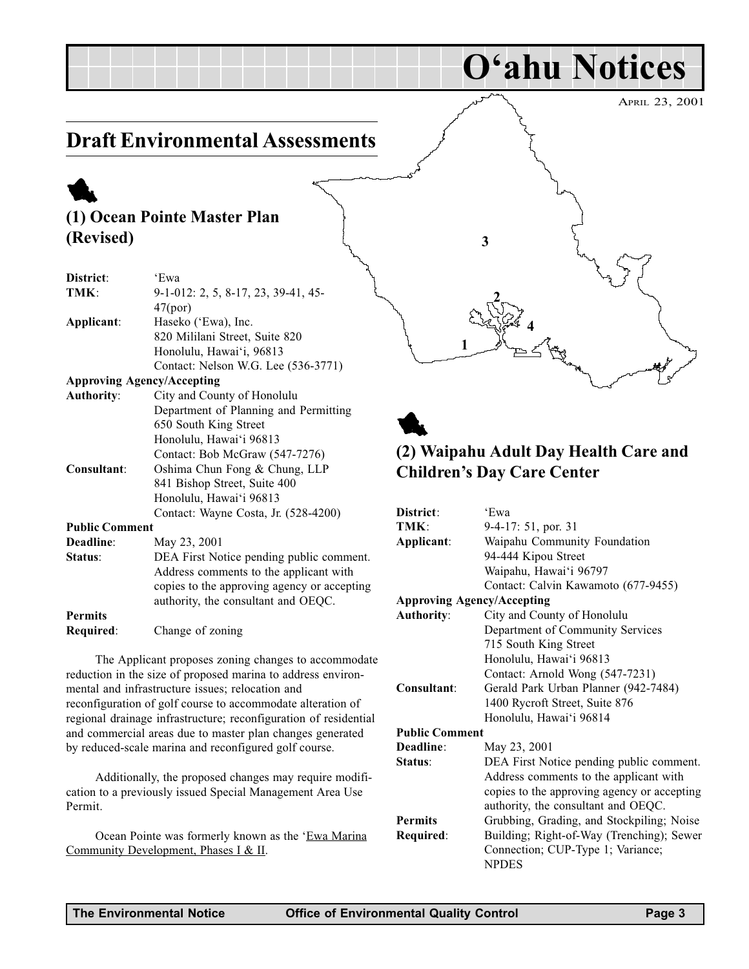## Draft Environmental Assessments

## 1 (1) Ocean Pointe Master Plan (Revised)

| District:                         | 'Ewa                                        |
|-----------------------------------|---------------------------------------------|
| TMK:                              | 9-1-012: 2, 5, 8-17, 23, 39-41, 45-         |
|                                   | 47(por)                                     |
| Applicant:                        | Haseko ('Ewa), Inc.                         |
|                                   | 820 Mililani Street, Suite 820              |
|                                   | Honolulu, Hawai'i, 96813                    |
|                                   | Contact: Nelson W.G. Lee (536-3771)         |
| <b>Approving Agency/Accepting</b> |                                             |
| <b>Authority:</b>                 | City and County of Honolulu                 |
|                                   | Department of Planning and Permitting       |
|                                   | 650 South King Street                       |
|                                   | Honolulu, Hawai'i 96813                     |
|                                   | Contact: Bob McGraw (547-7276)              |
| Consultant:                       | Oshima Chun Fong & Chung, LLP               |
|                                   | 841 Bishop Street, Suite 400                |
|                                   | Honolulu, Hawai'i 96813                     |
|                                   | Contact: Wayne Costa, Jr. (528-4200)        |
| <b>Public Comment</b>             |                                             |
| Deadline:                         | May 23, 2001                                |
| Status:                           | DEA First Notice pending public comment.    |
|                                   | Address comments to the applicant with      |
|                                   | copies to the approving agency or accepting |
|                                   | authority, the consultant and OEQC.         |
| <b>Permits</b>                    |                                             |

Required: Change of zoning

The Applicant proposes zoning changes to accommodate reduction in the size of proposed marina to address environmental and infrastructure issues; relocation and reconfiguration of golf course to accommodate alteration of regional drainage infrastructure; reconfiguration of residential and commercial areas due to master plan changes generated by reduced-scale marina and reconfigured golf course.

Additionally, the proposed changes may require modification to a previously issued Special Management Area Use Permit.

Ocean Pointe was formerly known as the 'Ewa Marina Community Development, Phases I & II.



O'ahu Notices



### (2) Waipahu Adult Day Health Care and Children's Day Care Center

| District:                         | 'Ewa                                        |
|-----------------------------------|---------------------------------------------|
| TMK:                              | 9-4-17: 51, por. 31                         |
| Applicant:                        | Waipahu Community Foundation                |
|                                   | 94-444 Kipou Street                         |
|                                   | Waipahu, Hawai'i 96797                      |
|                                   | Contact: Calvin Kawamoto (677-9455)         |
| <b>Approving Agency/Accepting</b> |                                             |
| <b>Authority:</b>                 | City and County of Honolulu                 |
|                                   | Department of Community Services            |
|                                   | 715 South King Street                       |
|                                   | Honolulu, Hawai'i 96813                     |
|                                   | Contact: Arnold Wong (547-7231)             |
| Consultant:                       | Gerald Park Urban Planner (942-7484)        |
|                                   | 1400 Rycroft Street, Suite 876              |
|                                   | Honolulu, Hawai'i 96814                     |
| <b>Public Comment</b>             |                                             |
| Deadline:                         | May 23, 2001                                |
| Status:                           | DEA First Notice pending public comment.    |
|                                   | Address comments to the applicant with      |
|                                   | copies to the approving agency or accepting |
|                                   | authority, the consultant and OEQC.         |
| <b>Permits</b>                    | Grubbing, Grading, and Stockpiling; Noise   |
| Required:                         | Building; Right-of-Way (Trenching); Sewer   |
|                                   | Connection; CUP-Type 1; Variance;           |
|                                   | <b>NPDES</b>                                |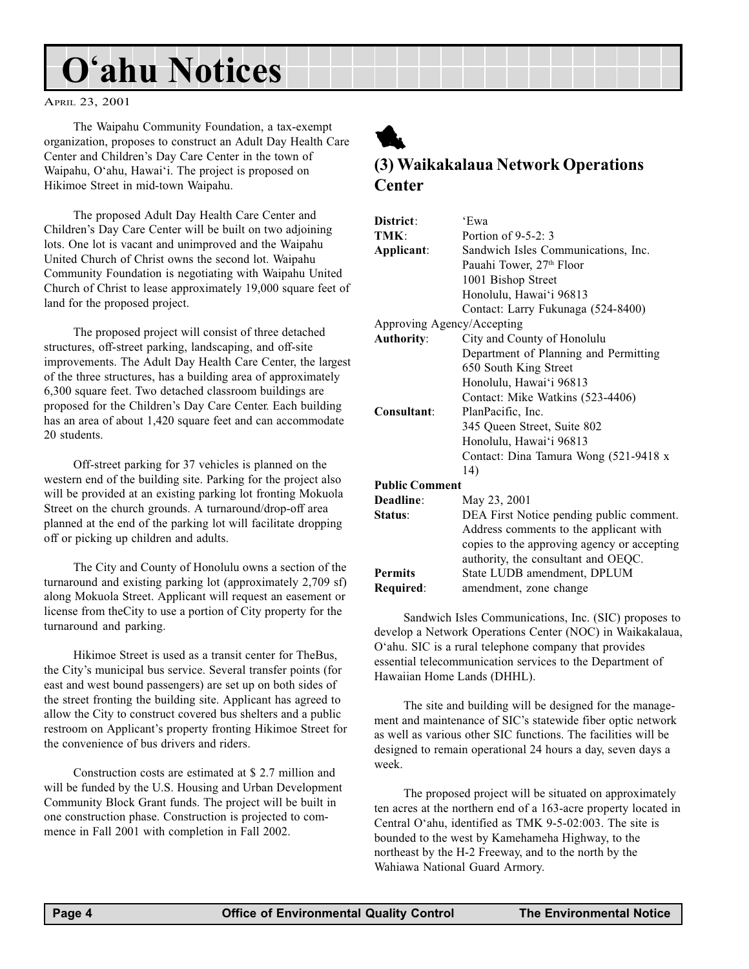## O'ahu Notices

APRIL 23, 2001

The Waipahu Community Foundation, a tax-exempt organization, proposes to construct an Adult Day Health Care Center and Children's Day Care Center in the town of Waipahu, O'ahu, Hawai'i. The project is proposed on Hikimoe Street in mid-town Waipahu.

The proposed Adult Day Health Care Center and Children's Day Care Center will be built on two adjoining lots. One lot is vacant and unimproved and the Waipahu United Church of Christ owns the second lot. Waipahu Community Foundation is negotiating with Waipahu United Church of Christ to lease approximately 19,000 square feet of land for the proposed project.

The proposed project will consist of three detached structures, off-street parking, landscaping, and off-site improvements. The Adult Day Health Care Center, the largest of the three structures, has a building area of approximately 6,300 square feet. Two detached classroom buildings are proposed for the Children's Day Care Center. Each building has an area of about 1,420 square feet and can accommodate 20 students.

Off-street parking for 37 vehicles is planned on the western end of the building site. Parking for the project also will be provided at an existing parking lot fronting Mokuola Street on the church grounds. A turnaround/drop-off area planned at the end of the parking lot will facilitate dropping off or picking up children and adults.

The City and County of Honolulu owns a section of the turnaround and existing parking lot (approximately 2,709 sf) along Mokuola Street. Applicant will request an easement or license from theCity to use a portion of City property for the turnaround and parking.

Hikimoe Street is used as a transit center for TheBus, the City's municipal bus service. Several transfer points (for east and west bound passengers) are set up on both sides of the street fronting the building site. Applicant has agreed to allow the City to construct covered bus shelters and a public restroom on Applicant's property fronting Hikimoe Street for the convenience of bus drivers and riders.

Construction costs are estimated at \$ 2.7 million and will be funded by the U.S. Housing and Urban Development Community Block Grant funds. The project will be built in one construction phase. Construction is projected to commence in Fall 2001 with completion in Fall 2002.

## 1 (3) Waikakalaua Network Operations **Center**

| District:                  | 'Ewa                                        |
|----------------------------|---------------------------------------------|
| TMK:                       | Portion of $9-5-2:3$                        |
| Applicant:                 | Sandwich Isles Communications, Inc.         |
|                            | Pauahi Tower, 27 <sup>th</sup> Floor        |
|                            | 1001 Bishop Street                          |
|                            | Honolulu, Hawai'i 96813                     |
|                            | Contact: Larry Fukunaga (524-8400)          |
| Approving Agency/Accepting |                                             |
| <b>Authority:</b>          | City and County of Honolulu                 |
|                            | Department of Planning and Permitting       |
|                            | 650 South King Street                       |
|                            | Honolulu, Hawai'i 96813                     |
|                            | Contact: Mike Watkins (523-4406)            |
| Consultant:                | PlanPacific, Inc.                           |
|                            | 345 Queen Street, Suite 802                 |
|                            | Honolulu, Hawai'i 96813                     |
|                            | Contact: Dina Tamura Wong (521-9418 x       |
|                            | 14)                                         |
| <b>Public Comment</b>      |                                             |
| Deadline:                  | May 23, 2001                                |
| Status:                    | DEA First Notice pending public comment.    |
|                            | Address comments to the applicant with      |
|                            | copies to the approving agency or accepting |
|                            | authority, the consultant and OEQC.         |
| <b>Permits</b>             | State LUDB amendment, DPLUM                 |
| Required:                  | amendment, zone change                      |
|                            |                                             |

Sandwich Isles Communications, Inc. (SIC) proposes to develop a Network Operations Center (NOC) in Waikakalaua, O'ahu. SIC is a rural telephone company that provides essential telecommunication services to the Department of Hawaiian Home Lands (DHHL).

The site and building will be designed for the management and maintenance of SIC's statewide fiber optic network as well as various other SIC functions. The facilities will be designed to remain operational 24 hours a day, seven days a week.

The proposed project will be situated on approximately ten acres at the northern end of a 163-acre property located in Central O'ahu, identified as TMK  $9-5-02:003$ . The site is bounded to the west by Kamehameha Highway, to the northeast by the H-2 Freeway, and to the north by the Wahiawa National Guard Armory.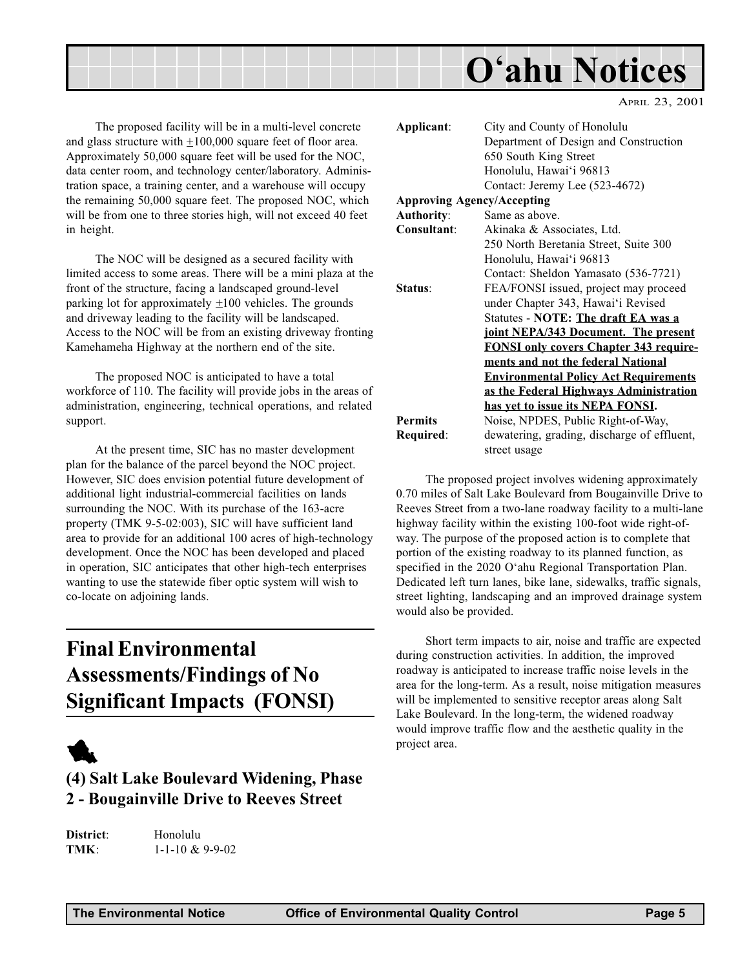

The proposed facility will be in a multi-level concrete and glass structure with  $\pm 100,000$  square feet of floor area. Approximately 50,000 square feet will be used for the NOC, data center room, and technology center/laboratory. Administration space, a training center, and a warehouse will occupy the remaining 50,000 square feet. The proposed NOC, which will be from one to three stories high, will not exceed 40 feet in height.

The NOC will be designed as a secured facility with limited access to some areas. There will be a mini plaza at the front of the structure, facing a landscaped ground-level parking lot for approximately  $\pm 100$  vehicles. The grounds and driveway leading to the facility will be landscaped. Access to the NOC will be from an existing driveway fronting Kamehameha Highway at the northern end of the site.

The proposed NOC is anticipated to have a total workforce of 110. The facility will provide jobs in the areas of administration, engineering, technical operations, and related support.

At the present time, SIC has no master development plan for the balance of the parcel beyond the NOC project. However, SIC does envision potential future development of additional light industrial-commercial facilities on lands surrounding the NOC. With its purchase of the 163-acre property (TMK 9-5-02:003), SIC will have sufficient land area to provide for an additional 100 acres of high-technology development. Once the NOC has been developed and placed in operation, SIC anticipates that other high-tech enterprises wanting to use the statewide fiber optic system will wish to co-locate on adjoining lands.

## Final Environmental Assessments/Findings of No Significant Impacts (FONSI)



### (4) Salt Lake Boulevard Widening, Phase 2 - Bougainville Drive to Reeves Street

District: Honolulu TMK: 1-1-10 & 9-9-02

| Applicant:        | City and County of Honolulu                   |
|-------------------|-----------------------------------------------|
|                   | Department of Design and Construction         |
|                   | 650 South King Street                         |
|                   | Honolulu, Hawai'i 96813                       |
|                   | Contact: Jeremy Lee (523-4672)                |
|                   | <b>Approving Agency/Accepting</b>             |
| <b>Authority:</b> | Same as above.                                |
| Consultant:       | Akinaka & Associates, Ltd.                    |
|                   | 250 North Beretania Street, Suite 300         |
|                   | Honolulu, Hawai'i 96813                       |
|                   | Contact: Sheldon Yamasato (536-7721)          |
| Status:           | FEA/FONSI issued, project may proceed         |
|                   | under Chapter 343, Hawai'i Revised            |
|                   | Statutes - NOTE: The draft EA was a           |
|                   | joint NEPA/343 Document. The present          |
|                   | <b>FONSI only covers Chapter 343 require-</b> |
|                   | ments and not the federal National            |
|                   | <b>Environmental Policy Act Requirements</b>  |
|                   | as the Federal Highways Administration        |
|                   | has yet to issue its NEPA FONSI.              |
| <b>Permits</b>    | Noise, NPDES, Public Right-of-Way,            |
| Required:         | dewatering, grading, discharge of effluent,   |
|                   | street usage                                  |
|                   |                                               |

The proposed project involves widening approximately 0.70 miles of Salt Lake Boulevard from Bougainville Drive to Reeves Street from a two-lane roadway facility to a multi-lane highway facility within the existing 100-foot wide right-ofway. The purpose of the proposed action is to complete that portion of the existing roadway to its planned function, as specified in the 2020 O'ahu Regional Transportation Plan. Dedicated left turn lanes, bike lane, sidewalks, traffic signals, street lighting, landscaping and an improved drainage system would also be provided.

Short term impacts to air, noise and traffic are expected during construction activities. In addition, the improved roadway is anticipated to increase traffic noise levels in the area for the long-term. As a result, noise mitigation measures will be implemented to sensitive receptor areas along Salt Lake Boulevard. In the long-term, the widened roadway would improve traffic flow and the aesthetic quality in the project area.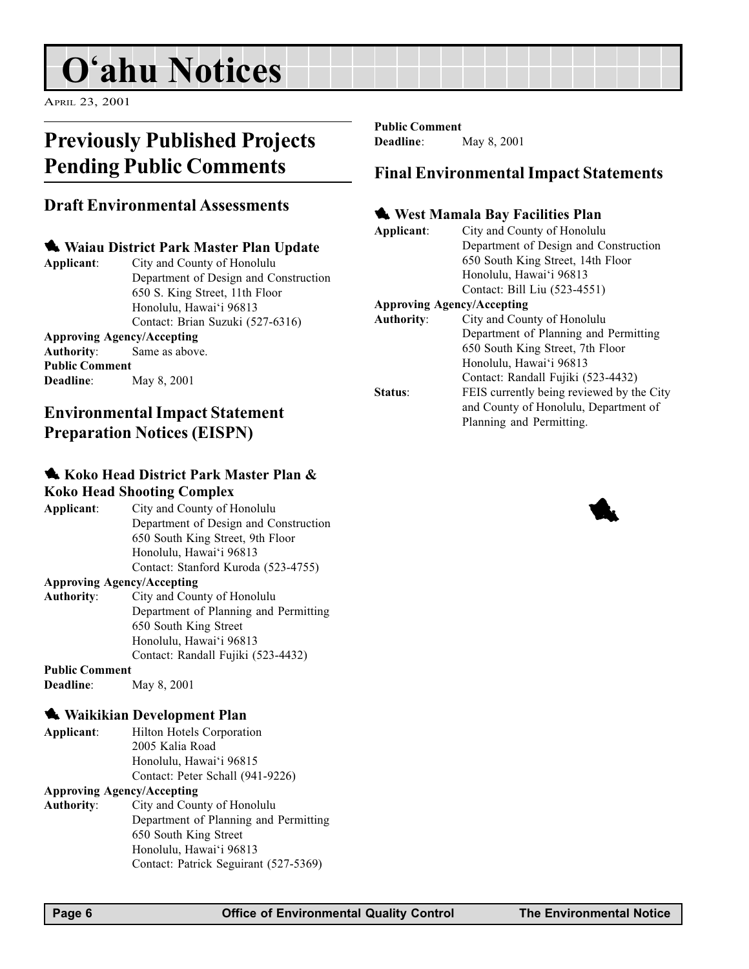## O'ahu Notices

APRIL 23, 2001

## Previously Published Projects Pending Public Comments

### Draft Environmental Assessments

### **Waiau District Park Master Plan Update**

Applicant: City and County of Honolulu Department of Design and Construction 650 S. King Street, 11th Floor Honolulu, Hawai'i 96813 Contact: Brian Suzuki (527-6316)

### Approving Agency/Accepting

Authority: Same as above. Public Comment Deadline: May 8, 2001

### Environmental Impact Statement Preparation Notices (EISPN)

### **Koko Head District Park Master Plan &** Koko Head Shooting Complex

| City and County of Honolulu           |
|---------------------------------------|
| Department of Design and Construction |
| 650 South King Street, 9th Floor      |
| Honolulu, Hawai'i 96813               |
| Contact: Stanford Kuroda (523-4755)   |
|                                       |

### Approving Agency/Accepting

Authority: City and County of Honolulu Department of Planning and Permitting 650 South King Street Honolulu, Hawai'i 96813 Contact: Randall Fujiki (523-4432)

### Public Comment

Deadline: May 8, 2001

### **Waikikian Development Plan**

| Applicant: | Hilton Hotels Corporation        |
|------------|----------------------------------|
|            | 2005 Kalia Road                  |
|            | Honolulu, Hawai'i 96815          |
|            | Contact: Peter Schall (941-9226) |

#### Approving Agency/Accepting

Authority: City and County of Honolulu Department of Planning and Permitting 650 South King Street Honolulu, Hawai'i 96813 Contact: Patrick Seguirant (527-5369)

Public Comment

Deadline: May 8, 2001

### Final Environmental Impact Statements

### **West Mamala Bay Facilities Plan**

Applicant: City and County of Honolulu Department of Design and Construction 650 South King Street, 14th Floor Honolulu, Hawai'i 96813 Contact: Bill Liu (523-4551)

### Approving Agency/Accepting

| <b>Authority:</b> | City and County of Honolulu               |
|-------------------|-------------------------------------------|
|                   | Department of Planning and Permitting     |
|                   | 650 South King Street, 7th Floor          |
|                   | Honolulu, Hawai'i 96813                   |
|                   | Contact: Randall Fujiki (523-4432)        |
| Status:           | FEIS currently being reviewed by the City |
|                   | and County of Honolulu, Department of     |
|                   | Planning and Permitting.                  |
|                   |                                           |

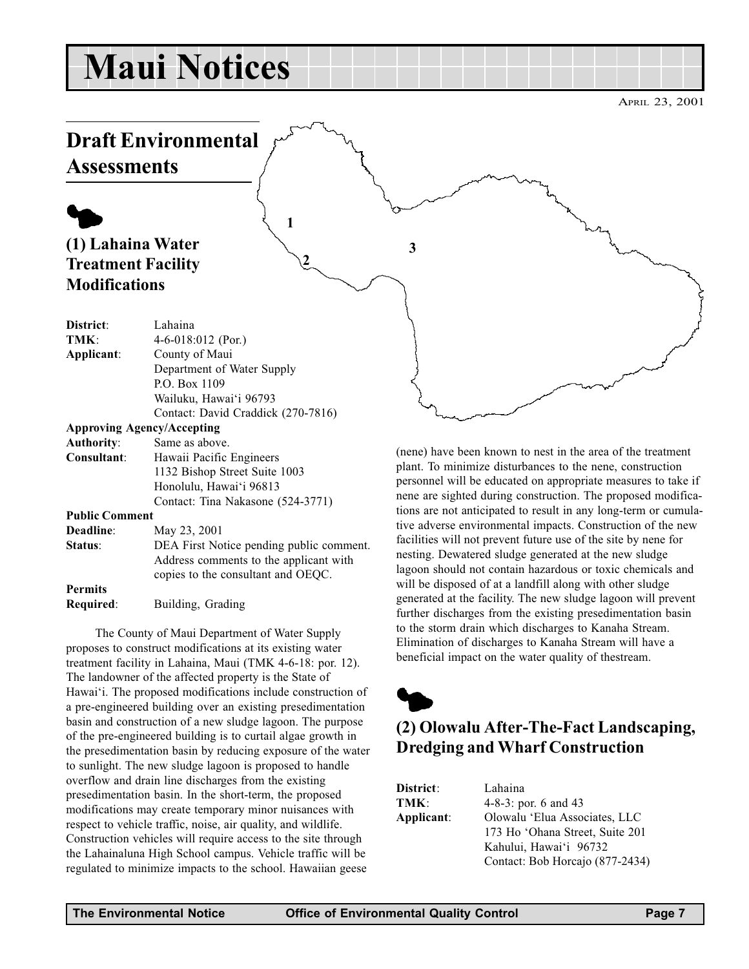## Maui Notices

## Draft Environmental

**Assessments** 

## $\blacklozenge$ (1) Lahaina Water Treatment Facility **Modifications**

| District:                         | Lahaina                                  |  |
|-----------------------------------|------------------------------------------|--|
| TMK:                              | 4-6-018:012 (Por.)                       |  |
| Applicant:                        | County of Maui                           |  |
|                                   | Department of Water Supply               |  |
|                                   | P.O. Box 1109                            |  |
|                                   | Wailuku, Hawai'i 96793                   |  |
|                                   | Contact: David Craddick (270-7816)       |  |
| <b>Approving Agency/Accepting</b> |                                          |  |
| <b>Authority:</b>                 | Same as above.                           |  |
| Consultant:                       | Hawaii Pacific Engineers                 |  |
|                                   | 1132 Bishop Street Suite 1003            |  |
|                                   | Honolulu, Hawai'i 96813                  |  |
|                                   | Contact: Tina Nakasone (524-3771)        |  |
| <b>Public Comment</b>             |                                          |  |
| Deadline:                         | May 23, 2001                             |  |
| Status:                           | DEA First Notice pending public comment. |  |
|                                   | Address comments to the applicant with   |  |
|                                   | copies to the consultant and OEQC.       |  |
| <b>Permits</b>                    |                                          |  |
| Required:                         | Building, Grading                        |  |
|                                   |                                          |  |

The County of Maui Department of Water Supply proposes to construct modifications at its existing water treatment facility in Lahaina, Maui (TMK 4-6-18: por. 12). The landowner of the affected property is the State of Hawai'i. The proposed modifications include construction of a pre-engineered building over an existing presedimentation basin and construction of a new sludge lagoon. The purpose of the pre-engineered building is to curtail algae growth in the presedimentation basin by reducing exposure of the water to sunlight. The new sludge lagoon is proposed to handle overflow and drain line discharges from the existing presedimentation basin. In the short-term, the proposed modifications may create temporary minor nuisances with respect to vehicle traffic, noise, air quality, and wildlife. Construction vehicles will require access to the site through the Lahainaluna High School campus. Vehicle traffic will be regulated to minimize impacts to the school. Hawaiian geese

(nene) have been known to nest in the area of the treatment plant. To minimize disturbances to the nene, construction personnel will be educated on appropriate measures to take if nene are sighted during construction. The proposed modifica-

tions are not anticipated to result in any long-term or cumulative adverse environmental impacts. Construction of the new facilities will not prevent future use of the site by nene for nesting. Dewatered sludge generated at the new sludge lagoon should not contain hazardous or toxic chemicals and will be disposed of at a landfill along with other sludge generated at the facility. The new sludge lagoon will prevent further discharges from the existing presedimentation basin to the storm drain which discharges to Kanaha Stream. Elimination of discharges to Kanaha Stream will have a beneficial impact on the water quality of thestream.

## $\blacklozenge$ (2) Olowalu After-The-Fact Landscaping, Dredging and Wharf Construction

| District:  | Lahaina                         |
|------------|---------------------------------|
| TMK:       | $4-8-3$ : por. 6 and 43         |
| Applicant: | Olowalu 'Elua Associates, LLC   |
|            | 173 Ho 'Ohana Street, Suite 201 |
|            | Kahului, Hawai'i 96732          |
|            | Contact: Bob Horcajo (877-2434) |

3

1

2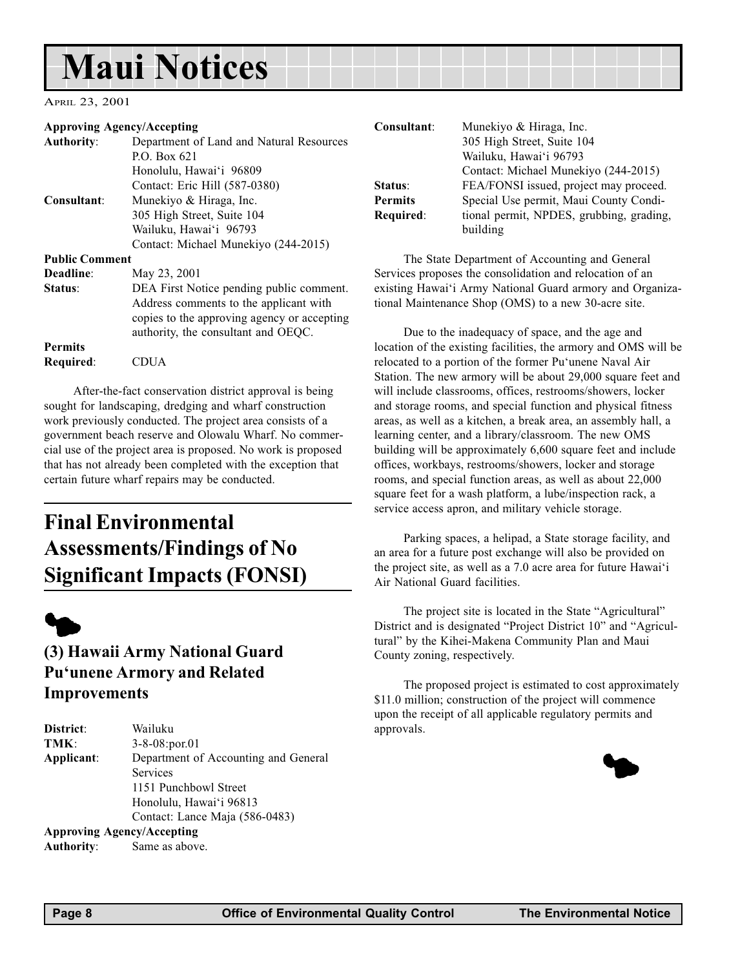## Maui Notices

APRIL 23, 2001

#### Approving Agency/Accepting

| <b>Authority:</b>     | Department of Land and Natural Resources                                                                                                                                 |
|-----------------------|--------------------------------------------------------------------------------------------------------------------------------------------------------------------------|
|                       | P.O. Box $621$                                                                                                                                                           |
|                       | Honolulu, Hawai'i 96809                                                                                                                                                  |
|                       | Contact: Eric Hill (587-0380)                                                                                                                                            |
| Consultant:           | Munekiyo & Hiraga, Inc.                                                                                                                                                  |
|                       | 305 High Street, Suite 104                                                                                                                                               |
|                       | Wailuku, Hawai'i 96793                                                                                                                                                   |
|                       | Contact: Michael Munekiyo (244-2015)                                                                                                                                     |
| <b>Public Comment</b> |                                                                                                                                                                          |
| Deadline:             | May 23, 2001                                                                                                                                                             |
| Status:               | DEA First Notice pending public comment.<br>Address comments to the applicant with<br>copies to the approving agency or accepting<br>authority, the consultant and OEQC. |
| <b>Permits</b>        |                                                                                                                                                                          |
| Required:             | CDUA                                                                                                                                                                     |

After-the-fact conservation district approval is being sought for landscaping, dredging and wharf construction work previously conducted. The project area consists of a government beach reserve and Olowalu Wharf. No commercial use of the project area is proposed. No work is proposed that has not already been completed with the exception that certain future wharf repairs may be conducted.

## Final Environmental Assessments/Findings of No Significant Impacts (FONSI)



### (3) Hawaii Army National Guard Pu'unene Armory and Related Improvements

| District:  | Wailuku                              |
|------------|--------------------------------------|
| TMK:       | $3 - 8 - 08$ : por. 01               |
| Applicant: | Department of Accounting and General |
|            | Services                             |
|            | 1151 Punchbowl Street                |
|            | Honolulu, Hawai'i 96813              |
|            | Contact: Lance Maja (586-0483)       |
|            | <b>Approving Agency/Accepting</b>    |

Authority: Same as above.

| Consultant:    | Munekiyo & Hiraga, Inc.                  |
|----------------|------------------------------------------|
|                | 305 High Street, Suite 104               |
|                | Wailuku, Hawai'i 96793                   |
|                | Contact: Michael Munekiyo (244-2015)     |
| <b>Status:</b> | FEA/FONSI issued, project may proceed.   |
| Permits        | Special Use permit, Maui County Condi-   |
| Required:      | tional permit, NPDES, grubbing, grading, |
|                | building                                 |

The State Department of Accounting and General Services proposes the consolidation and relocation of an existing Hawai'i Army National Guard armory and Organizational Maintenance Shop (OMS) to a new 30-acre site.

Due to the inadequacy of space, and the age and location of the existing facilities, the armory and OMS will be relocated to a portion of the former Pu'unene Naval Air Station. The new armory will be about 29,000 square feet and will include classrooms, offices, restrooms/showers, locker and storage rooms, and special function and physical fitness areas, as well as a kitchen, a break area, an assembly hall, a learning center, and a library/classroom. The new OMS building will be approximately 6,600 square feet and include offices, workbays, restrooms/showers, locker and storage rooms, and special function areas, as well as about 22,000 square feet for a wash platform, a lube/inspection rack, a service access apron, and military vehicle storage.

Parking spaces, a helipad, a State storage facility, and an area for a future post exchange will also be provided on the project site, as well as a 7.0 acre area for future Hawai'i Air National Guard facilities.

The project site is located in the State "Agricultural" District and is designated "Project District 10" and "Agricultural" by the Kihei-Makena Community Plan and Maui County zoning, respectively.

The proposed project is estimated to cost approximately \$11.0 million; construction of the project will commence upon the receipt of all applicable regulatory permits and approvals.

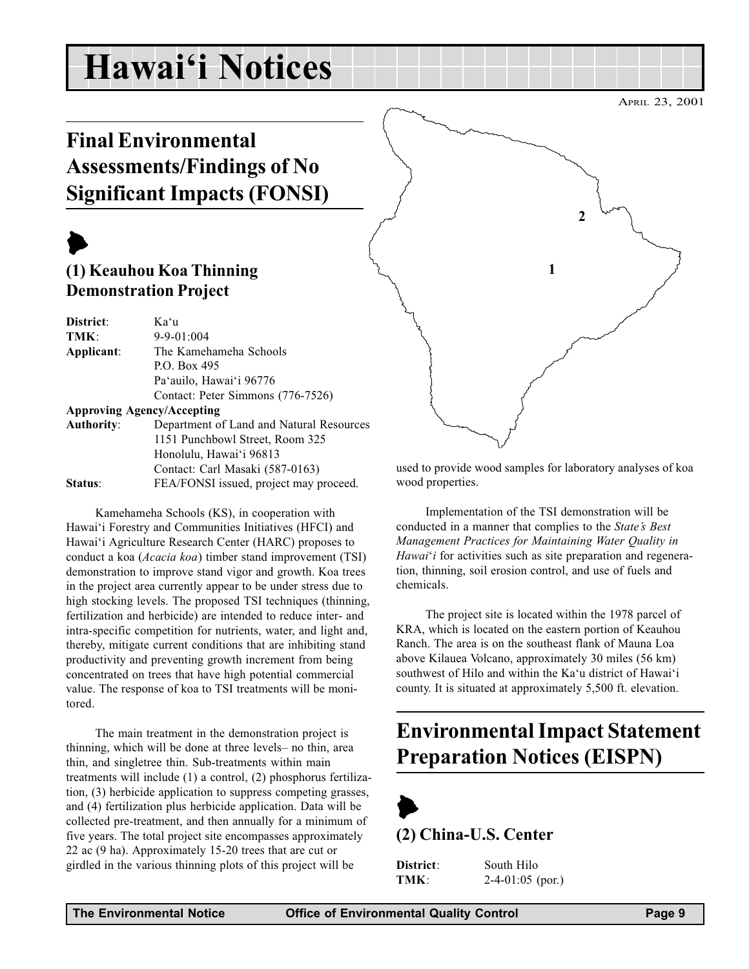## Hawai'i Notices

## Final Environmental Assessments/Findings of No Significant Impacts (FONSI)

## $\blacktriangleright$

### (1) Keauhou Koa Thinning Demonstration Project

| District:         | Ka'u                                     |
|-------------------|------------------------------------------|
| TMK:              | $9 - 9 - 01:004$                         |
| Applicant:        | The Kamehameha Schools                   |
|                   | P.O. Box 495                             |
|                   | Pa'auilo, Hawai'i 96776                  |
|                   | Contact: Peter Simmons (776-7526)        |
|                   | <b>Approving Agency/Accepting</b>        |
| <b>Authority:</b> | Department of Land and Natural Resources |
|                   | 1151 Punchbowl Street, Room 325          |
|                   | Honolulu, Hawai'i 96813                  |
|                   | Contact: Carl Masaki (587-0163)          |
| <b>Status:</b>    | FEA/FONSI issued, project may proceed.   |

Kamehameha Schools (KS), in cooperation with Hawai'i Forestry and Communities Initiatives (HFCI) and Hawai'i Agriculture Research Center (HARC) proposes to conduct a koa (Acacia koa) timber stand improvement (TSI) demonstration to improve stand vigor and growth. Koa trees in the project area currently appear to be under stress due to high stocking levels. The proposed TSI techniques (thinning, fertilization and herbicide) are intended to reduce inter- and intra-specific competition for nutrients, water, and light and, thereby, mitigate current conditions that are inhibiting stand productivity and preventing growth increment from being concentrated on trees that have high potential commercial value. The response of koa to TSI treatments will be monitored.

The main treatment in the demonstration project is thinning, which will be done at three levels- no thin, area thin, and singletree thin. Sub-treatments within main treatments will include (1) a control, (2) phosphorus fertilization, (3) herbicide application to suppress competing grasses, and (4) fertilization plus herbicide application. Data will be collected pre-treatment, and then annually for a minimum of five years. The total project site encompasses approximately 22 ac (9 ha). Approximately 15-20 trees that are cut or girdled in the various thinning plots of this project will be



used to provide wood samples for laboratory analyses of koa wood properties.

Implementation of the TSI demonstration will be conducted in a manner that complies to the State's Best Management Practices for Maintaining Water Quality in Hawai'i for activities such as site preparation and regeneration, thinning, soil erosion control, and use of fuels and chemicals.

The project site is located within the 1978 parcel of KRA, which is located on the eastern portion of Keauhou Ranch. The area is on the southeast flank of Mauna Loa above Kilauea Volcano, approximately 30 miles (56 km) southwest of Hilo and within the Ka'u district of Hawai'i county. It is situated at approximately 5,500 ft. elevation.

## Environmental Impact Statement Preparation Notices (EISPN)



(2) China-U.S. Center

District: South Hilo

TMK: 2-4-01:05 (por.)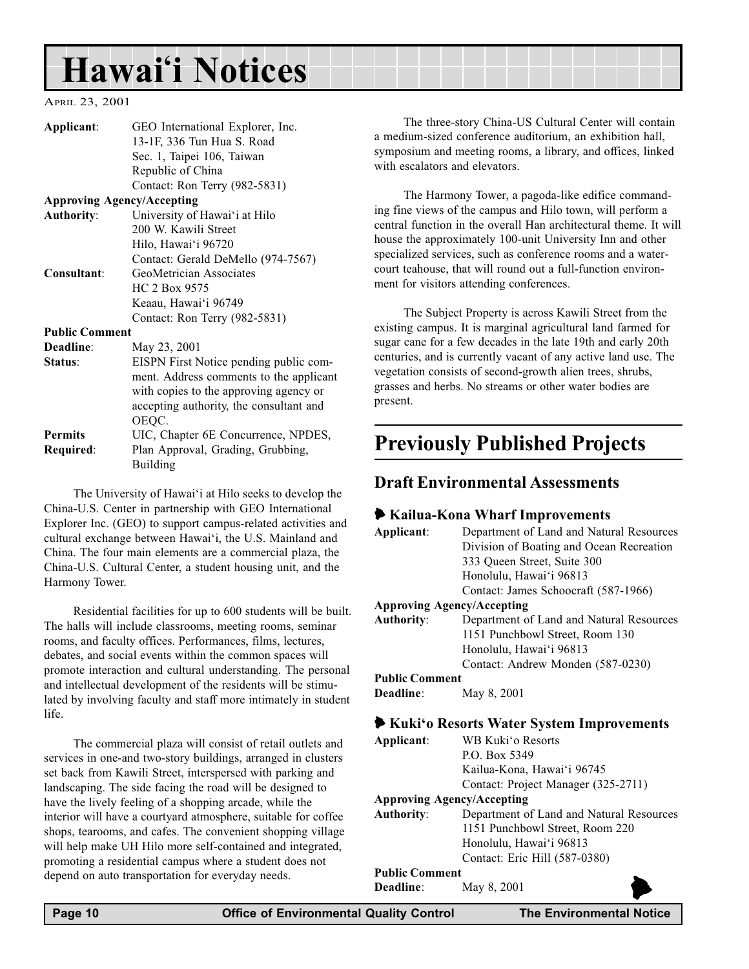## Hawai'i Notices

### APRIL 23, 2001

| Applicant:            | GEO International Explorer, Inc.        |
|-----------------------|-----------------------------------------|
|                       | 13-1F, 336 Tun Hua S. Road              |
|                       | Sec. 1, Taipei 106, Taiwan              |
|                       | Republic of China                       |
|                       | Contact: Ron Terry (982-5831)           |
|                       | <b>Approving Agency/Accepting</b>       |
| <b>Authority:</b>     | University of Hawai'i at Hilo           |
|                       | 200 W. Kawili Street                    |
|                       | Hilo, Hawai'i 96720                     |
|                       | Contact: Gerald DeMello (974-7567)      |
| Consultant:           | GeoMetrician Associates                 |
|                       | HC 2 Box 9575                           |
|                       | Keaau, Hawai'i 96749                    |
|                       | Contact: Ron Terry (982-5831)           |
| <b>Public Comment</b> |                                         |
| Deadline:             | May 23, 2001                            |
| Status:               | EISPN First Notice pending public com-  |
|                       | ment. Address comments to the applicant |
|                       | with copies to the approving agency or  |
|                       | accepting authority, the consultant and |
|                       | OEQC.                                   |
| <b>Permits</b>        | UIC, Chapter 6E Concurrence, NPDES,     |
|                       |                                         |

Required: Plan Approval, Grading, Grubbing, Building

The University of Hawai'i at Hilo seeks to develop the China-U.S. Center in partnership with GEO International Explorer Inc. (GEO) to support campus-related activities and cultural exchange between Hawai'i, the U.S. Mainland and China. The four main elements are a commercial plaza, the China-U.S. Cultural Center, a student housing unit, and the Harmony Tower.

Residential facilities for up to 600 students will be built. The halls will include classrooms, meeting rooms, seminar rooms, and faculty offices. Performances, films, lectures, debates, and social events within the common spaces will promote interaction and cultural understanding. The personal and intellectual development of the residents will be stimulated by involving faculty and staff more intimately in student life.

The commercial plaza will consist of retail outlets and services in one-and two-story buildings, arranged in clusters set back from Kawili Street, interspersed with parking and landscaping. The side facing the road will be designed to have the lively feeling of a shopping arcade, while the interior will have a courtyard atmosphere, suitable for coffee shops, tearooms, and cafes. The convenient shopping village will help make UH Hilo more self-contained and integrated, promoting a residential campus where a student does not depend on auto transportation for everyday needs.

The three-story China-US Cultural Center will contain a medium-sized conference auditorium, an exhibition hall, symposium and meeting rooms, a library, and offices, linked with escalators and elevators.

The Harmony Tower, a pagoda-like edifice commanding fine views of the campus and Hilo town, will perform a central function in the overall Han architectural theme. It will house the approximately 100-unit University Inn and other specialized services, such as conference rooms and a watercourt teahouse, that will round out a full-function environment for visitors attending conferences.

The Subject Property is across Kawili Street from the existing campus. It is marginal agricultural land farmed for sugar cane for a few decades in the late 19th and early 20th centuries, and is currently vacant of any active land use. The vegetation consists of second-growth alien trees, shrubs, grasses and herbs. No streams or other water bodies are present.

## Previously Published Projects

### Draft Environmental Assessments

### 6 Kailua-Kona Wharf Improvements

| Applicant:            | Department of Land and Natural Resources |
|-----------------------|------------------------------------------|
|                       | Division of Boating and Ocean Recreation |
|                       | 333 Queen Street, Suite 300              |
|                       | Honolulu, Hawai'i 96813                  |
|                       | Contact: James Schoocraft (587-1966)     |
|                       | <b>Approving Agency/Accepting</b>        |
| <b>Authority:</b>     | Department of Land and Natural Resources |
|                       | 1151 Punchbowl Street, Room 130          |
|                       | Honolulu, Hawai'i 96813                  |
|                       | Contact: Andrew Monden (587-0230)        |
| <b>Public Comment</b> |                                          |
| <b>Deadline:</b>      | May 8, 2001                              |
|                       | Kuki'o Resorts Water System Improvements |
| Applicant:            | WB Kuki'o Resorts                        |

| Kuki'o Resorts Water System Improvements |                                          |  |
|------------------------------------------|------------------------------------------|--|
| Applicant:                               | WB Kuki'o Resorts                        |  |
|                                          | P.O. Box 5349                            |  |
|                                          | Kailua-Kona, Hawai'i 96745               |  |
|                                          | Contact: Project Manager (325-2711)      |  |
| <b>Approving Agency/Accepting</b>        |                                          |  |
| Authority:                               | Department of Land and Natural Resources |  |
|                                          | 1151 Punchbowl Street, Room 220          |  |
|                                          | Honolulu, Hawai'i 96813                  |  |
|                                          | Contact: Eric Hill (587-0380)            |  |
| <b>Public Comment</b>                    |                                          |  |
| Deadline:                                | May 8, 2001                              |  |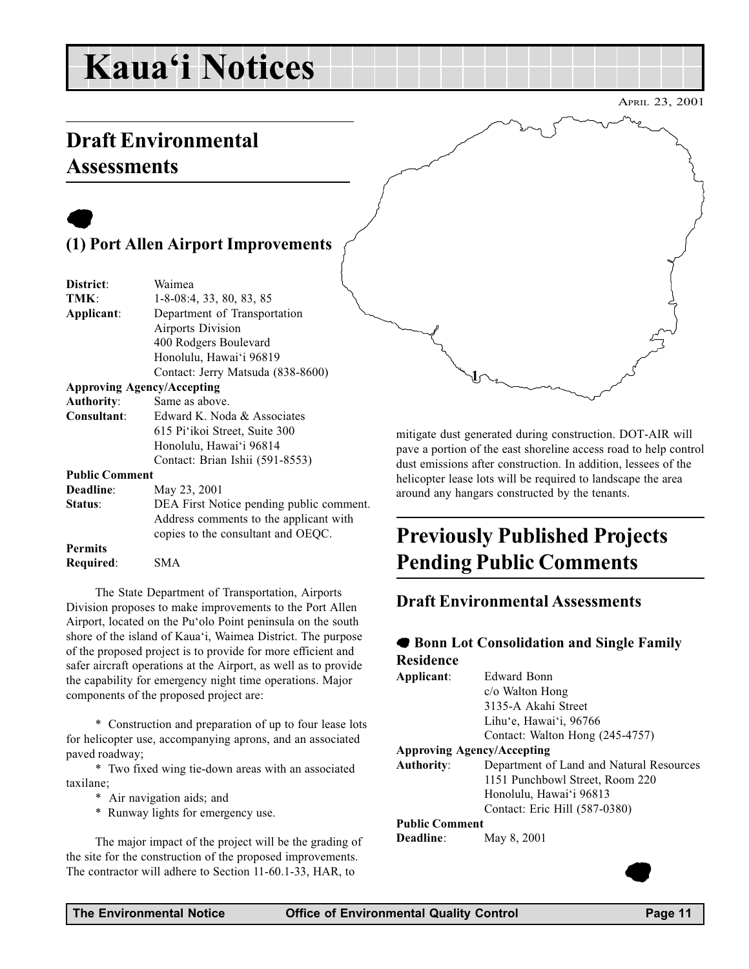## Kaua'i Notices

## Draft Environmental **Assessments**

## $\bullet$ (1) Port Allen Airport Improvements

| District:             | Waimea                            |  |  |
|-----------------------|-----------------------------------|--|--|
| TMK:                  | $1-8-08:4$ , 33, 80, 83, 85       |  |  |
| Applicant:            | Department of Transportation      |  |  |
|                       | Airports Division                 |  |  |
|                       | 400 Rodgers Boulevard             |  |  |
|                       | Honolulu, Hawai'i 96819           |  |  |
|                       | Contact: Jerry Matsuda (838-8600) |  |  |
|                       | <b>Approving Agency/Accepting</b> |  |  |
| <b>Authority:</b>     | Same as above.                    |  |  |
| Consultant:           | Edward K. Noda & Associates       |  |  |
|                       | 615 Pi'ikoi Street, Suite 300     |  |  |
|                       | Honolulu, Hawai'i 96814           |  |  |
|                       | Contact: Brian Ishii (591-8553)   |  |  |
| <b>Public Comment</b> |                                   |  |  |
| Doodlino:             | M <sub>ov</sub> , 22, 2001        |  |  |

Deadline: May 23, 2001 Status: DEA First Notice pending public comment. Address comments to the applicant with copies to the consultant and OEQC. Permits Required: SMA

The State Department of Transportation, Airports Division proposes to make improvements to the Port Allen Airport, located on the Pu'olo Point peninsula on the south shore of the island of Kaua'i, Waimea District. The purpose of the proposed project is to provide for more efficient and safer aircraft operations at the Airport, as well as to provide the capability for emergency night time operations. Major components of the proposed project are:

\* Construction and preparation of up to four lease lots for helicopter use, accompanying aprons, and an associated paved roadway;

\* Two fixed wing tie-down areas with an associated taxilane;

- \* Air navigation aids; and
- \* Runway lights for emergency use.

The major impact of the project will be the grading of the site for the construction of the proposed improvements. The contractor will adhere to Section 11-60.1-33, HAR, to

mitigate dust generated during construction. DOT-AIR will pave a portion of the east shoreline access road to help control dust emissions after construction. In addition, lessees of the helicopter lease lots will be required to landscape the area around any hangars constructed by the tenants.

## Previously Published Projects Pending Public Comments

### Draft Environmental Assessments

 $\mathbf{1}$ 

### 7 Bonn Lot Consolidation and Single Family Residence

| Applicant:                        | Edward Bonn                              |  |
|-----------------------------------|------------------------------------------|--|
|                                   | $c$ /o Walton Hong                       |  |
|                                   | 3135-A Akahi Street                      |  |
|                                   | Lihu'e, Hawai'i, 96766                   |  |
|                                   | Contact: Walton Hong (245-4757)          |  |
| <b>Approving Agency/Accepting</b> |                                          |  |
| <b>Authority:</b>                 | Department of Land and Natural Resources |  |
|                                   | 1151 Punchbowl Street, Room 220          |  |
|                                   | Honolulu, Hawai'i 96813                  |  |
|                                   | Contact: Eric Hill (587-0380)            |  |
| <b>Public Comment</b>             |                                          |  |
| Deadline:                         | May 8, 2001                              |  |

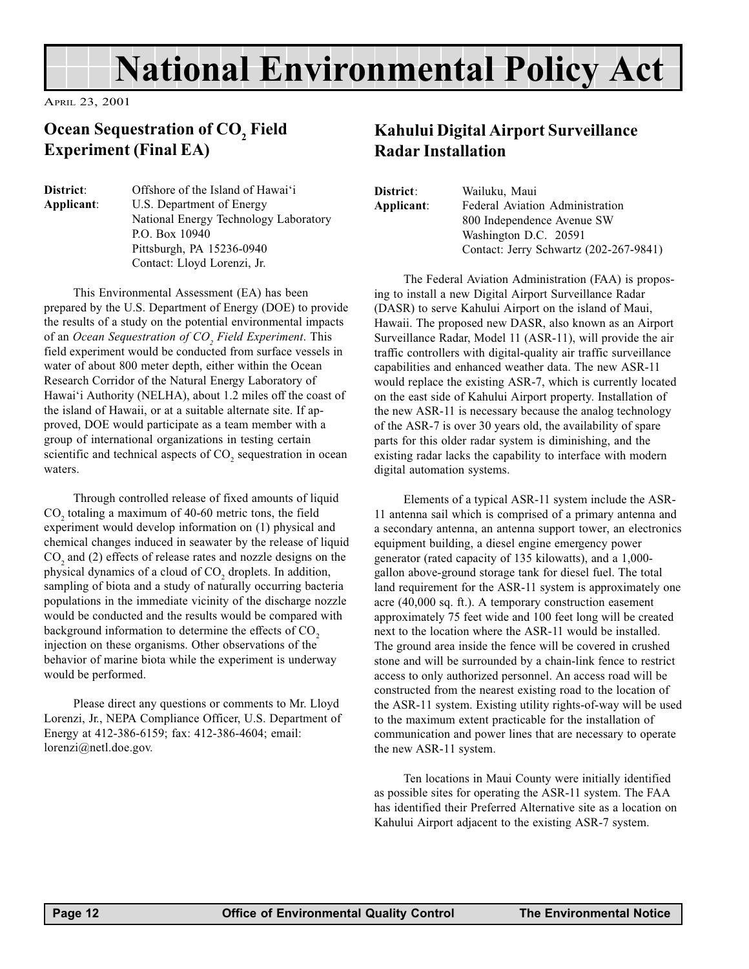## National Environmental Policy Act

APRIL 23, 2001

### Ocean Sequestration of  $\mathrm{CO}_\mathrm{_{2}}$  Field Experiment (Final EA)

**District:** Offshore of the Island of Hawai'i Applicant: U.S. Department of Energy National Energy Technology Laboratory P.O. Box 10940 Pittsburgh, PA 15236-0940 Contact: Lloyd Lorenzi, Jr.

This Environmental Assessment (EA) has been prepared by the U.S. Department of Energy (DOE) to provide the results of a study on the potential environmental impacts of an Ocean Sequestration of CO<sub>2</sub> Field Experiment. This field experiment would be conducted from surface vessels in water of about 800 meter depth, either within the Ocean Research Corridor of the Natural Energy Laboratory of Hawai'i Authority (NELHA), about 1.2 miles off the coast of the island of Hawaii, or at a suitable alternate site. If approved, DOE would participate as a team member with a group of international organizations in testing certain scientific and technical aspects of  $CO_2$  sequestration in ocean waters.

Through controlled release of fixed amounts of liquid  $CO<sub>2</sub>$  totaling a maximum of 40-60 metric tons, the field experiment would develop information on (1) physical and chemical changes induced in seawater by the release of liquid  $CO<sub>2</sub>$  and (2) effects of release rates and nozzle designs on the physical dynamics of a cloud of  $CO_2$  droplets. In addition, sampling of biota and a study of naturally occurring bacteria populations in the immediate vicinity of the discharge nozzle would be conducted and the results would be compared with background information to determine the effects of  $CO<sub>2</sub>$ injection on these organisms. Other observations of the behavior of marine biota while the experiment is underway would be performed.

Please direct any questions or comments to Mr. Lloyd Lorenzi, Jr., NEPA Compliance Officer, U.S. Department of Energy at 412-386-6159; fax: 412-386-4604; email: lorenzi@netl.doe.gov.

### Kahului Digital Airport Surveillance Radar Installation

| District:                                     | Wailuku, Maui                          |
|-----------------------------------------------|----------------------------------------|
| Federal Aviation Administration<br>Applicant: |                                        |
|                                               | 800 Independence Avenue SW             |
|                                               | Washington D.C. 20591                  |
|                                               | Contact: Jerry Schwartz (202-267-9841) |

The Federal Aviation Administration (FAA) is proposing to install a new Digital Airport Surveillance Radar (DASR) to serve Kahului Airport on the island of Maui, Hawaii. The proposed new DASR, also known as an Airport Surveillance Radar, Model 11 (ASR-11), will provide the air traffic controllers with digital-quality air traffic surveillance capabilities and enhanced weather data. The new ASR-11 would replace the existing ASR-7, which is currently located on the east side of Kahului Airport property. Installation of the new ASR-11 is necessary because the analog technology of the ASR-7 is over 30 years old, the availability of spare parts for this older radar system is diminishing, and the existing radar lacks the capability to interface with modern digital automation systems.

Elements of a typical ASR-11 system include the ASR-11 antenna sail which is comprised of a primary antenna and a secondary antenna, an antenna support tower, an electronics equipment building, a diesel engine emergency power generator (rated capacity of 135 kilowatts), and a 1,000 gallon above-ground storage tank for diesel fuel. The total land requirement for the ASR-11 system is approximately one acre (40,000 sq. ft.). A temporary construction easement approximately 75 feet wide and 100 feet long will be created next to the location where the ASR-11 would be installed. The ground area inside the fence will be covered in crushed stone and will be surrounded by a chain-link fence to restrict access to only authorized personnel. An access road will be constructed from the nearest existing road to the location of the ASR-11 system. Existing utility rights-of-way will be used to the maximum extent practicable for the installation of communication and power lines that are necessary to operate the new ASR-11 system.

Ten locations in Maui County were initially identified as possible sites for operating the ASR-11 system. The FAA has identified their Preferred Alternative site as a location on Kahului Airport adjacent to the existing ASR-7 system.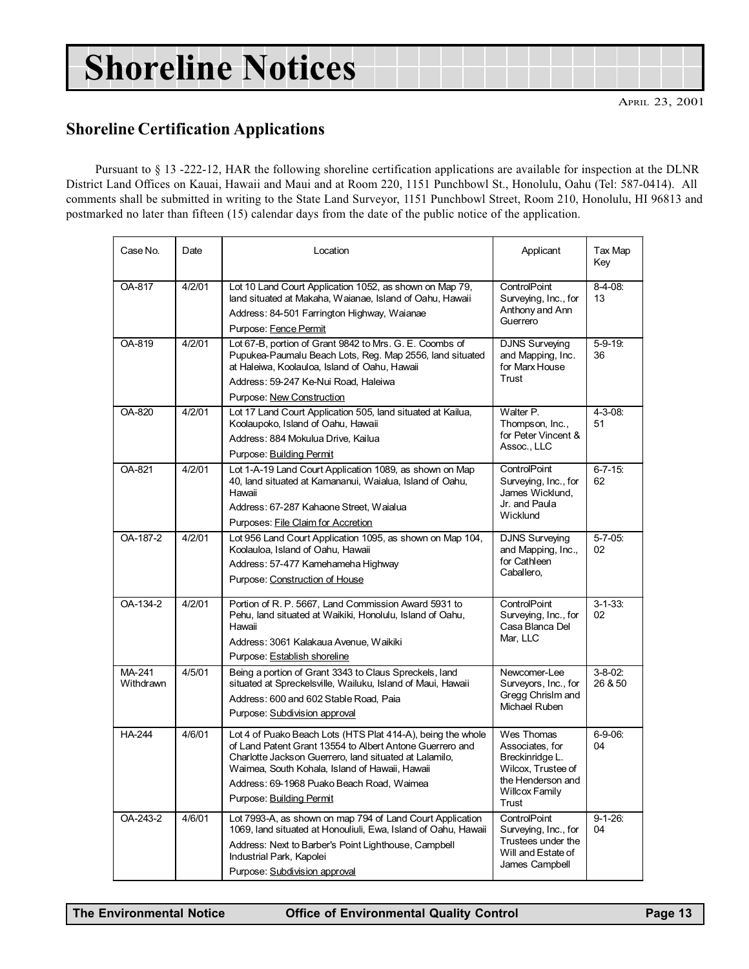## Shoreline Notices

### Shoreline Certification Applications

Pursuant to § 13 -222-12, HAR the following shoreline certification applications are available for inspection at the DLNR District Land Offices on Kauai, Hawaii and Maui and at Room 220, 1151 Punchbowl St., Honolulu, Oahu (Tel: 587-0414). All comments shall be submitted in writing to the State Land Surveyor, 1151 Punchbowl Street, Room 210, Honolulu, HI 96813 and postmarked no later than fifteen (15) calendar days from the date of the public notice of the application.

| Case No.            | Date   | Location                                                                                                                                                                                                                                                                                                     | Applicant                                                                                                              | Tax Map<br>Key            |
|---------------------|--------|--------------------------------------------------------------------------------------------------------------------------------------------------------------------------------------------------------------------------------------------------------------------------------------------------------------|------------------------------------------------------------------------------------------------------------------------|---------------------------|
| OA-817              | 4/2/01 | Lot 10 Land Court Application 1052, as shown on Map 79,<br>land situated at Makaha, Waianae, Island of Oahu, Hawaii<br>Address: 84-501 Farrington Highway, Waianae<br>Purpose: Fence Permit                                                                                                                  | ControlPoint<br>Surveying, Inc., for<br>Anthony and Ann<br>Guerrero                                                    | $8-4-08$ :<br>13          |
| OA-819              | 4/2/01 | Lot 67-B, portion of Grant 9842 to Mrs. G. E. Coombs of<br>Pupukea-Paumalu Beach Lots, Reg. Map 2556, land situated<br>at Haleiwa, Koolauloa, Island of Oahu, Hawaii<br>Address: 59-247 Ke-Nui Road, Haleiwa<br>Purpose: New Construction                                                                    | <b>DJNS Surveying</b><br>and Mapping, Inc.<br>for Marx House<br>Trust                                                  | $5 - 9 - 19$<br>36        |
| OA-820              | 4/2/01 | Lot 17 Land Court Application 505, land situated at Kailua,<br>Koolaupoko, Island of Oahu, Hawaii<br>Address: 884 Mokulua Drive, Kailua<br>Purpose: Building Permit                                                                                                                                          | Walter P.<br>Thompson, Inc.,<br>for Peter Vincent &<br>Assoc., LLC                                                     | $4 - 3 - 08$ :<br>51      |
| OA-821              | 4/2/01 | Lot 1-A-19 Land Court Application 1089, as shown on Map<br>40, land situated at Kamananui, Waialua, Island of Oahu,<br>Hawaii<br>Address: 67-287 Kahaone Street, Waialua<br>Purposes: File Claim for Accretion                                                                                               | ControlPoint<br>Surveying, Inc., for<br>James Wicklund,<br>Jr. and Paula<br>Wicklund                                   | $6 - 7 - 15$ :<br>62      |
| OA-187-2            | 4/2/01 | Lot 956 Land Court Application 1095, as shown on Map 104,<br>Koolauloa, Island of Oahu, Hawaii<br>Address: 57-477 Kamehameha Highway<br>Purpose: Construction of House                                                                                                                                       | <b>DJNS Surveying</b><br>and Mapping, Inc.,<br>for Cathleen<br>Caballero,                                              | $5 - 7 - 05$ :<br>02      |
| OA-134-2            | 4/2/01 | Portion of R. P. 5667, Land Commission Award 5931 to<br>Pehu, land situated at Waikiki, Honolulu, Island of Oahu,<br>Hawaii<br>Address: 3061 Kalakaua Avenue, Waikiki<br>Purpose: Establish shoreline                                                                                                        | ControlPoint<br>Surveying, Inc., for<br>Casa Blanca Del<br>Mar, LLC                                                    | $3 - 1 - 33$ :<br>02      |
| MA-241<br>Withdrawn | 4/5/01 | Being a portion of Grant 3343 to Claus Spreckels, land<br>situated at Spreckelsville, Wailuku, Island of Maui, Hawaii<br>Address: 600 and 602 Stable Road, Paia<br>Purpose: Subdivision approval                                                                                                             | Newcomer-Lee<br>Surveyors, Inc., for<br>Gregg Chrislm and<br>Michael Ruben                                             | $3 - 8 - 02$ :<br>26 & 50 |
| <b>HA-244</b>       | 4/6/01 | Lot 4 of Puako Beach Lots (HTS Plat 414-A), being the whole<br>of Land Patent Grant 13554 to Albert Antone Guerrero and<br>Charlotte Jackson Guerrero, land situated at Lalamilo,<br>Waimea, South Kohala, Island of Hawaii, Hawaii<br>Address: 69-1968 Puako Beach Road, Waimea<br>Purpose: Building Permit | Wes Thomas<br>Associates, for<br>Breckinridge L.<br>Wilcox, Trustee of<br>the Henderson and<br>Willcox Family<br>Trust | $6-9-06$ :<br>04          |
| OA-243-2            | 4/6/01 | Lot 7993-A, as shown on map 794 of Land Court Application<br>1069, land situated at Honouliuli, Ewa, Island of Oahu, Hawaii<br>Address: Next to Barber's Point Lighthouse, Campbell<br>Industrial Park, Kapolei<br>Purpose: Subdivision approval                                                             | ControlPoint<br>Surveying, Inc., for<br>Trustees under the<br>Will and Estate of<br>James Campbell                     | $9 - 1 - 26$ :<br>04      |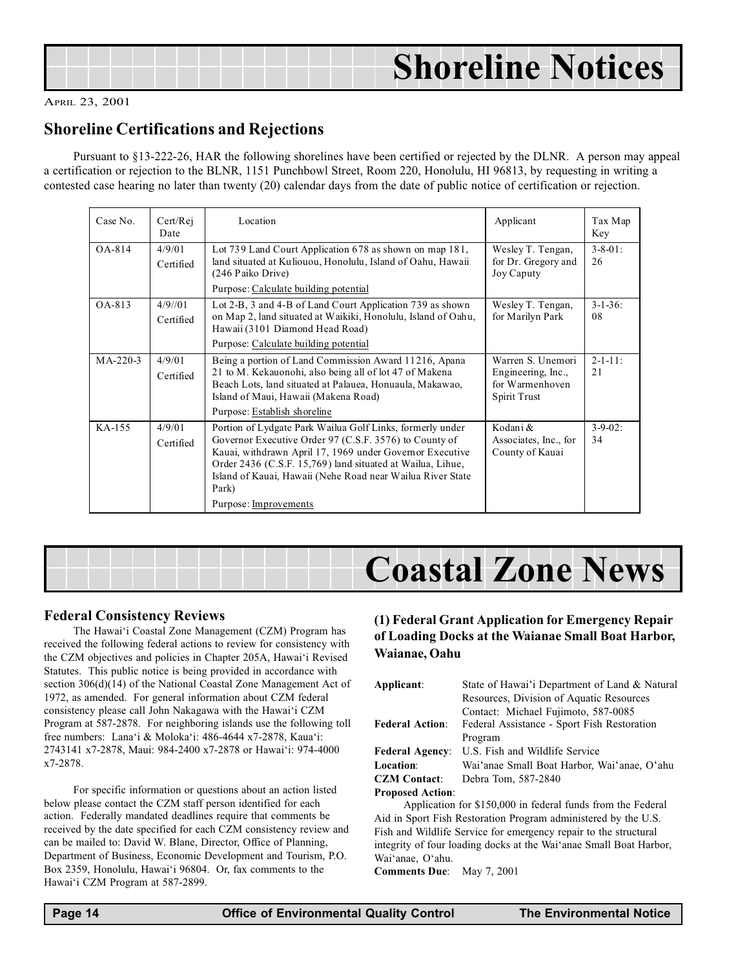| <b>Shoreline Notices</b> |
|--------------------------|

### Shoreline Certifications and Rejections

Pursuant to §13-222-26, HAR the following shorelines have been certified or rejected by the DLNR. A person may appeal a certification or rejection to the BLNR, 1151 Punchbowl Street, Room 220, Honolulu, HI 96813, by requesting in writing a contested case hearing no later than twenty (20) calendar days from the date of public notice of certification or rejection.

| Case No. | Cert/Rej<br>Date     | Location                                                                                                                                                                                                                                                                                                                                      | Applicant                                                                  | Tax Map<br>Key        |
|----------|----------------------|-----------------------------------------------------------------------------------------------------------------------------------------------------------------------------------------------------------------------------------------------------------------------------------------------------------------------------------------------|----------------------------------------------------------------------------|-----------------------|
| $OA-814$ | 4/9/01<br>Certified  | Lot 739 Land Court Application 678 as shown on map 181,<br>land situated at Kuliouou, Honolulu, Island of Oahu, Hawaii<br>(246 Paiko Drive)                                                                                                                                                                                                   | Wesley T. Tengan,<br>for Dr. Gregory and<br>Joy Caputy                     | $3 - 8 - 01$ :<br>26  |
|          |                      | Purpose: Calculate building potential                                                                                                                                                                                                                                                                                                         |                                                                            |                       |
| OA-813   | 4/9/101<br>Certified | Lot 2-B, 3 and 4-B of Land Court Application 739 as shown<br>on Map 2, land situated at Waikiki, Honolulu, Island of Oahu,<br>Hawaii (3101 Diamond Head Road)                                                                                                                                                                                 | Wesley T. Tengan,<br>for Marilyn Park                                      | $3 - 1 - 36$ :<br>08  |
|          |                      | Purpose: Calculate building potential                                                                                                                                                                                                                                                                                                         |                                                                            |                       |
| MA-220-3 | 4/9/01<br>Certified  | Being a portion of Land Commission Award 11216, Apana<br>21 to M. Kekauonohi, also being all of lot 47 of Makena<br>Beach Lots, land situated at Palauea, Honuaula, Makawao,<br>Island of Maui, Hawaii (Makena Road)<br>Purpose: Establish shoreline                                                                                          | Warren S. Unemori<br>Engineering, Inc.,<br>for Warmenhoven<br>Spirit Trust | $2 - 1 - 11$ :<br>2.1 |
| KA-155   | 4/9/01<br>Certified  | Portion of Lydgate Park Wailua Golf Links, formerly under<br>Governor Executive Order 97 (C.S.F. 3576) to County of<br>Kauai, withdrawn April 17, 1969 under Governor Executive<br>Order 2436 (C.S.F. 15,769) land situated at Wailua, Lihue,<br>Island of Kauai, Hawaii (Nehe Road near Wailua River State<br>Park)<br>Purpose: Improvements | Kodani &<br>Associates, Inc., for<br>County of Kauai                       | $3 - 9 - 02$ :<br>34  |



### Federal Consistency Reviews

The Hawai'i Coastal Zone Management (CZM) Program has received the following federal actions to review for consistency with the CZM objectives and policies in Chapter 205A, Hawai'i Revised Statutes. This public notice is being provided in accordance with section 306(d)(14) of the National Coastal Zone Management Act of 1972, as amended. For general information about CZM federal consistency please call John Nakagawa with the Hawai'i CZM Program at 587-2878. For neighboring islands use the following toll free numbers: Lana'i & Moloka'i:  $486-4644 \times 7-2878$ . Kaua'i: 2743141 x7-2878, Maui: 984-2400 x7-2878 or Hawai'i: 974-4000 x7-2878.

For specific information or questions about an action listed below please contact the CZM staff person identified for each action. Federally mandated deadlines require that comments be received by the date specified for each CZM consistency review and can be mailed to: David W. Blane, Director, Office of Planning, Department of Business, Economic Development and Tourism, P.O. Box 2359, Honolulu, Hawai'i 96804. Or, fax comments to the Hawai'i CZM Program at 587-2899.

### (1) Federal Grant Application for Emergency Repair of Loading Docks at the Waianae Small Boat Harbor, Waianae, Oahu

| Applicant:              | State of Hawai'i Department of Land & Natural               |  |
|-------------------------|-------------------------------------------------------------|--|
|                         | Resources, Division of Aquatic Resources                    |  |
|                         | Contact: Michael Fujimoto, 587-0085                         |  |
| <b>Federal Action:</b>  | Federal Assistance - Sport Fish Restoration                 |  |
|                         | Program                                                     |  |
| <b>Federal Agency:</b>  | U.S. Fish and Wildlife Service                              |  |
| Location:               | Wai'anae Small Boat Harbor, Wai'anae, O'ahu                 |  |
| <b>CZM</b> Contact:     | Debra Tom, 587-2840                                         |  |
| <b>Proposed Action:</b> |                                                             |  |
|                         | Application for \$150,000 in federal funds from the Federal |  |

Application for \$150,000 in federal funds from the Federal Aid in Sport Fish Restoration Program administered by the U.S. Fish and Wildlife Service for emergency repair to the structural integrity of four loading docks at the Wai'anae Small Boat Harbor, Wai'anae, O'ahu.

Comments Due: May 7, 2001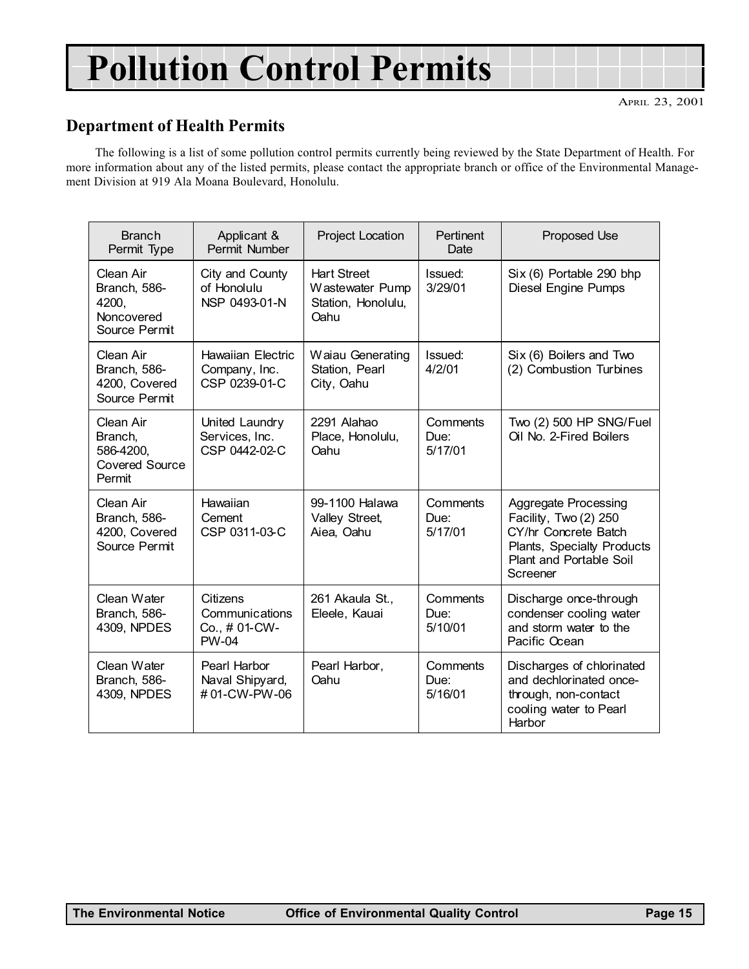## Pollution Control Permits

### Department of Health Permits

The following is a list of some pollution control permits currently being reviewed by the State Department of Health. For more information about any of the listed permits, please contact the appropriate branch or office of the Environmental Management Division at 919 Ala Moana Boulevard, Honolulu.

| <b>Branch</b><br>Permit Type                                         | Applicant &<br>Permit Number                               | <b>Project Location</b>                                             | <b>Pertinent</b><br>Date    | <b>Proposed Use</b>                                                                                                                        |
|----------------------------------------------------------------------|------------------------------------------------------------|---------------------------------------------------------------------|-----------------------------|--------------------------------------------------------------------------------------------------------------------------------------------|
| Clean Air<br>Branch, 586-<br>4200,<br>Noncovered<br>Source Permit    | City and County<br>of Honolulu<br>NSP 0493-01-N            | <b>Hart Street</b><br>Wastewater Pump<br>Station, Honolulu,<br>Oahu | Issued:<br>3/29/01          | Six (6) Portable 290 bhp<br>Diesel Engine Pumps                                                                                            |
| Clean Air<br>Branch, 586-<br>4200, Covered<br>Source Permit          | <b>Hawaiian Electric</b><br>Company, Inc.<br>CSP 0239-01-C | Waiau Generating<br>Station, Pearl<br>City, Oahu                    | Issued:<br>4/2/01           | Six (6) Boilers and Two<br>(2) Combustion Turbines                                                                                         |
| Clean Air<br>Branch,<br>586-4200,<br><b>Covered Source</b><br>Permit | United Laundry<br>Services, Inc.<br>CSP 0442-02-C          | 2291 Alahao<br>Place, Honolulu,<br>Oahu                             | Comments<br>Due:<br>5/17/01 | Two (2) 500 HP SNG/Fuel<br>Oil No. 2-Fired Boilers                                                                                         |
| Clean Air<br>Branch, 586-<br>4200, Covered<br>Source Permit          | Hawaiian<br>Cement<br>CSP 0311-03-C                        | 99-1100 Halawa<br>Valley Street,<br>Aiea, Oahu                      | Comments<br>Due:<br>5/17/01 | Aggregate Processing<br>Facility, Two (2) 250<br>CY/hr Concrete Batch<br>Plants, Specialty Products<br>Plant and Portable Soil<br>Screener |
| Clean Water<br>Branch, 586-<br>4309, NPDES                           | Citizens<br>Communications<br>Co., # 01-CW-<br>PW-04       | 261 Akaula St.,<br>Eleele, Kauai                                    | Comments<br>Due:<br>5/10/01 | Discharge once-through<br>condenser cooling water<br>and storm water to the<br>Pacific Ocean                                               |
| Clean Water<br>Branch, 586-<br>4309, NPDES                           | Pearl Harbor<br>Naval Shipyard,<br>#01-CW-PW-06            | Pearl Harbor,<br>Oahu                                               | Comments<br>Due:<br>5/16/01 | Discharges of chlorinated<br>and dechlorinated once-<br>through, non-contact<br>cooling water to Pearl<br>Harbor                           |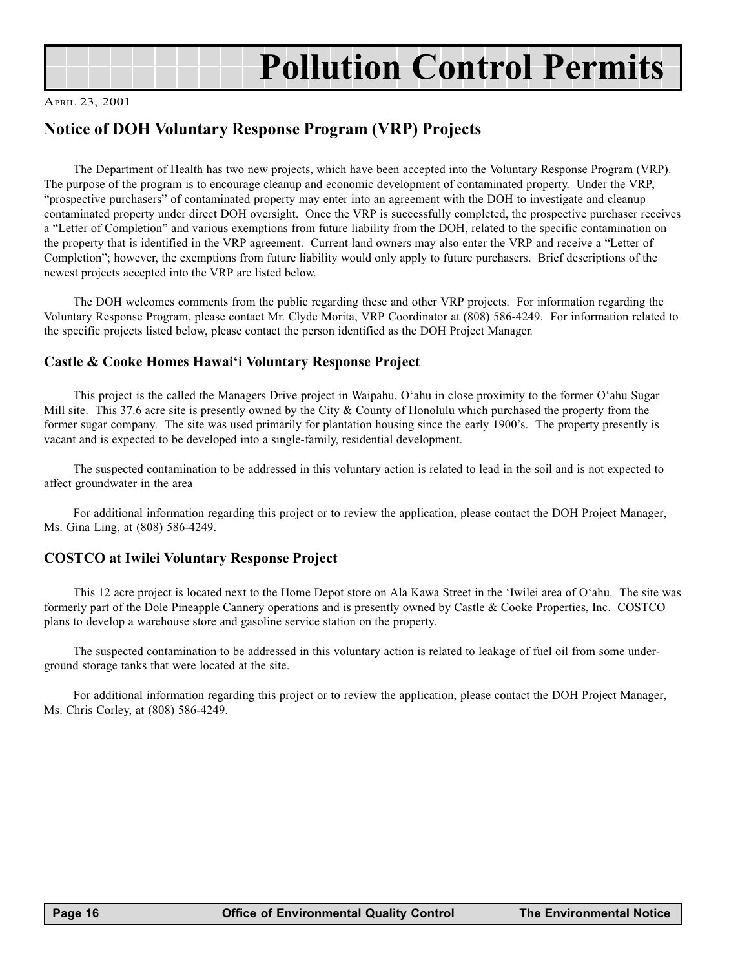

## Pollution Control Permits

#### APRIL 23, 2001

### Notice of DOH Voluntary Response Program (VRP) Projects

The Department of Health has two new projects, which have been accepted into the Voluntary Response Program (VRP). The purpose of the program is to encourage cleanup and economic development of contaminated property. Under the VRP, "prospective purchasers" of contaminated property may enter into an agreement with the DOH to investigate and cleanup contaminated property under direct DOH oversight. Once the VRP is successfully completed, the prospective purchaser receives a "Letter of Completion" and various exemptions from future liability from the DOH, related to the specific contamination on the property that is identified in the VRP agreement. Current land owners may also enter the VRP and receive a "Letter of Completion"; however, the exemptions from future liability would only apply to future purchasers. Brief descriptions of the newest projects accepted into the VRP are listed below.

The DOH welcomes comments from the public regarding these and other VRP projects. For information regarding the Voluntary Response Program, please contact Mr. Clyde Morita, VRP Coordinator at (808) 586-4249. For information related to the specific projects listed below, please contact the person identified as the DOH Project Manager.

### Castle & Cooke Homes Hawai'i Voluntary Response Project

This project is the called the Managers Drive project in Waipahu, O'ahu in close proximity to the former O'ahu Sugar Mill site. This 37.6 acre site is presently owned by the City & County of Honolulu which purchased the property from the former sugar company. The site was used primarily for plantation housing since the early 1900's. The property presently is vacant and is expected to be developed into a single-family, residential development.

The suspected contamination to be addressed in this voluntary action is related to lead in the soil and is not expected to affect groundwater in the area

For additional information regarding this project or to review the application, please contact the DOH Project Manager, Ms. Gina Ling, at (808) 586-4249.

### COSTCO at Iwilei Voluntary Response Project

This 12 acre project is located next to the Home Depot store on Ala Kawa Street in the 'Iwilei area of O'ahu. The site was formerly part of the Dole Pineapple Cannery operations and is presently owned by Castle & Cooke Properties, Inc. COSTCO plans to develop a warehouse store and gasoline service station on the property.

The suspected contamination to be addressed in this voluntary action is related to leakage of fuel oil from some underground storage tanks that were located at the site.

For additional information regarding this project or to review the application, please contact the DOH Project Manager, Ms. Chris Corley, at (808) 586-4249.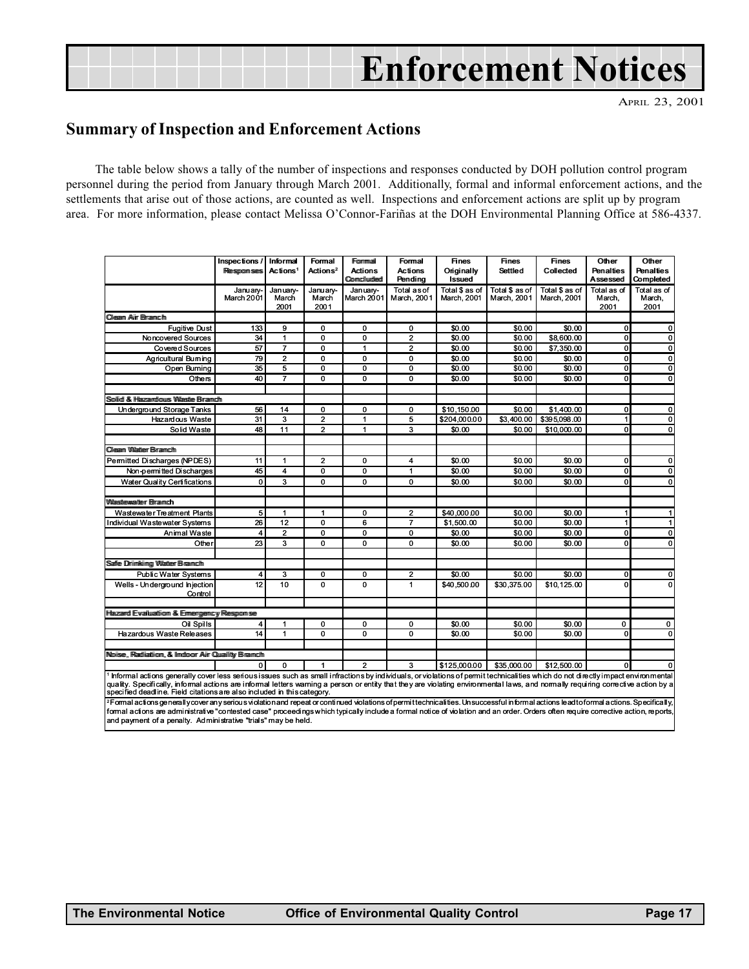## Enforcement Notices

APRIL 23, 2001

### Summary of Inspection and Enforcement Actions

The table below shows a tally of the number of inspections and responses conducted by DOH pollution control program personnel during the period from January through March 2001. Additionally, formal and informal enforcement actions, and the settlements that arise out of those actions, are counted as well. Inspections and enforcement actions are split up by program area. For more information, please contact Melissa O'Connor-Fariñas at the DOH Environmental Planning Office at 586-4337.

|                                                                                                                                                                                                                                                                                                                                                                                                                                                                                                                                                                                                                | Inspections /<br>Responses | Informal<br>Actions <sup>1</sup> | Formal<br>Actions <sup>2</sup> | Frommal<br><b>Actions</b><br>Comcliuded | Formal<br><b>Actions</b><br>Pendina | <b>Fines</b><br>Originally<br>Issued | <b>Fines</b><br><b>Settled</b> | <b>Fines</b><br>Collected     | Other<br><b>Penalties</b><br>Assessed | Other<br><b>Penalties</b><br>Completed |  |  |
|----------------------------------------------------------------------------------------------------------------------------------------------------------------------------------------------------------------------------------------------------------------------------------------------------------------------------------------------------------------------------------------------------------------------------------------------------------------------------------------------------------------------------------------------------------------------------------------------------------------|----------------------------|----------------------------------|--------------------------------|-----------------------------------------|-------------------------------------|--------------------------------------|--------------------------------|-------------------------------|---------------------------------------|----------------------------------------|--|--|
|                                                                                                                                                                                                                                                                                                                                                                                                                                                                                                                                                                                                                | January-<br>March 2001     | January-<br>March<br>2001        | January-<br>March<br>2001      | January-<br>March 2001                  | <b>Total as of</b><br>March, 2001   | Total \$ as of<br>March, 2001        | Total \$ as of<br>March. 2001  | Total \$ as of<br>March, 2001 | Total as of<br>March.<br>2001         | Total as of<br>March.<br>2001          |  |  |
| <b>Cleam Air Bramch</b>                                                                                                                                                                                                                                                                                                                                                                                                                                                                                                                                                                                        |                            |                                  |                                |                                         |                                     |                                      |                                |                               |                                       |                                        |  |  |
| <b>Fugitive Dust</b>                                                                                                                                                                                                                                                                                                                                                                                                                                                                                                                                                                                           | 133                        | 9                                | 0                              | 0                                       | 0                                   | \$0.00                               | \$0.00                         | \$0.00                        | 0                                     | 0                                      |  |  |
| Noncovered Sources                                                                                                                                                                                                                                                                                                                                                                                                                                                                                                                                                                                             | 34                         | $\mathbf{1}$                     | 0                              | 0                                       | $\overline{\mathbf{2}}$             | \$0.00                               | \$0.00                         | \$8,600.00                    | 0                                     | $\mathbf 0$                            |  |  |
| Covered Sources                                                                                                                                                                                                                                                                                                                                                                                                                                                                                                                                                                                                | 57                         | $\overline{7}$                   | 0                              | 1                                       | $\overline{2}$                      | \$0.00                               | \$0.00                         | \$7,350.00                    | $\Omega$                              | 0                                      |  |  |
| Agricultural Buming                                                                                                                                                                                                                                                                                                                                                                                                                                                                                                                                                                                            | 79                         | $\overline{2}$                   | 0                              | 0                                       | 0                                   | \$0.00                               | \$0.00                         | \$0.00                        | $\mathbf 0$                           | $\mathbf 0$                            |  |  |
| Open Burning                                                                                                                                                                                                                                                                                                                                                                                                                                                                                                                                                                                                   | $\overline{35}$            | 5                                | 0                              | 0                                       | 0                                   | \$0.00                               | \$0.00                         | \$0.00                        | 0                                     | $\overline{0}$                         |  |  |
| Others                                                                                                                                                                                                                                                                                                                                                                                                                                                                                                                                                                                                         | 40                         | $\overline{7}$                   | 0                              | 0                                       | 0                                   | \$0.00                               | \$0.00                         | \$0.00                        | 0                                     | 0                                      |  |  |
|                                                                                                                                                                                                                                                                                                                                                                                                                                                                                                                                                                                                                |                            |                                  |                                |                                         |                                     |                                      |                                |                               |                                       |                                        |  |  |
| Soliidi & Hazandours Wastle Branch                                                                                                                                                                                                                                                                                                                                                                                                                                                                                                                                                                             |                            |                                  |                                |                                         |                                     |                                      |                                |                               |                                       |                                        |  |  |
| Underground Storage Tanks                                                                                                                                                                                                                                                                                                                                                                                                                                                                                                                                                                                      | 56                         | 14                               | 0                              | 0                                       | 0                                   | \$10.150.00                          | \$0.00                         | \$1.400.00                    | 0                                     | 0                                      |  |  |
| <b>Hazardous Waste</b>                                                                                                                                                                                                                                                                                                                                                                                                                                                                                                                                                                                         | 31                         | 3                                | $\overline{\mathbf{2}}$        | 1                                       | 5                                   | \$204,000.00                         | \$3,400.00                     | \$395,098.00                  | 1                                     | $\mathbf 0$                            |  |  |
| Solid Waste                                                                                                                                                                                                                                                                                                                                                                                                                                                                                                                                                                                                    | 48                         | 11                               | $\overline{2}$                 | $\mathbf{1}$                            | 3                                   | \$0.00                               | \$0.00                         | \$10,000.00                   | $\Omega$                              | $\mathbf 0$                            |  |  |
|                                                                                                                                                                                                                                                                                                                                                                                                                                                                                                                                                                                                                |                            |                                  |                                |                                         |                                     |                                      |                                |                               |                                       |                                        |  |  |
| Cliesam Wilatteer Birramch                                                                                                                                                                                                                                                                                                                                                                                                                                                                                                                                                                                     |                            |                                  |                                |                                         |                                     |                                      |                                |                               |                                       |                                        |  |  |
| Permitted Discharges (NPDES)                                                                                                                                                                                                                                                                                                                                                                                                                                                                                                                                                                                   | 11                         | $\mathbf{1}$                     | $\overline{2}$                 | 0                                       | 4                                   | \$0.00                               | \$0.00                         | \$0.00                        | 0                                     | 0                                      |  |  |
| Non-permitted Discharges                                                                                                                                                                                                                                                                                                                                                                                                                                                                                                                                                                                       | 45                         | $\overline{\mathbf{4}}$          | 0                              | 0                                       | $\mathbf{1}$                        | \$0.00                               | \$0.00                         | \$0.00                        | 0                                     | 0                                      |  |  |
| <b>Water Quality Certifications</b>                                                                                                                                                                                                                                                                                                                                                                                                                                                                                                                                                                            | 0                          | 3                                | 0                              | 0                                       | 0                                   | \$0.00                               | \$0.00                         | \$0.00                        | 0                                     | 0                                      |  |  |
| Wilassitexwartter Birarmch                                                                                                                                                                                                                                                                                                                                                                                                                                                                                                                                                                                     |                            |                                  |                                |                                         |                                     |                                      |                                |                               |                                       |                                        |  |  |
| Wastewater Treatment Plants                                                                                                                                                                                                                                                                                                                                                                                                                                                                                                                                                                                    | 5                          | 1                                | 1                              | 0                                       | 2                                   | \$40,000.00                          | \$0.00                         | \$0.00                        | 1                                     |                                        |  |  |
| Individual Wastewater Systems                                                                                                                                                                                                                                                                                                                                                                                                                                                                                                                                                                                  | 26                         | 12                               | 0                              | 6                                       | $\overline{7}$                      | \$1,500.00                           | \$0.00                         | \$0.00                        | $\mathbf{1}$                          | 1                                      |  |  |
| Animal Waste                                                                                                                                                                                                                                                                                                                                                                                                                                                                                                                                                                                                   | $\overline{\mathbf{4}}$    | $\overline{\mathbf{c}}$          | $\mathbf 0$                    | 0                                       | $\mathbf 0$                         | \$0.00                               | \$0.00                         | \$0.00                        | $\mathbf{0}$                          | 0                                      |  |  |
| Other                                                                                                                                                                                                                                                                                                                                                                                                                                                                                                                                                                                                          | 23                         | 3                                | 0                              | 0                                       | 0                                   | \$0.00                               | \$0.00                         | \$0.00                        | $\Omega$                              | $\mathbf 0$                            |  |  |
|                                                                                                                                                                                                                                                                                                                                                                                                                                                                                                                                                                                                                |                            |                                  |                                |                                         |                                     |                                      |                                |                               |                                       |                                        |  |  |
| Saffe Driimkiimg Watter Brannch                                                                                                                                                                                                                                                                                                                                                                                                                                                                                                                                                                                |                            |                                  |                                |                                         |                                     |                                      |                                |                               |                                       |                                        |  |  |
| <b>Public Water Systems</b>                                                                                                                                                                                                                                                                                                                                                                                                                                                                                                                                                                                    | 4                          | 3                                | 0                              | 0                                       | 2                                   | \$0.00                               | \$0.00                         | \$0.00                        | 0                                     | 0                                      |  |  |
| Wells - Underground Injection                                                                                                                                                                                                                                                                                                                                                                                                                                                                                                                                                                                  | 12                         | 10                               | 0                              | 0                                       | $\mathbf{1}$                        | \$40,500.00                          | \$30.375.00                    | \$10.125.00                   | 0                                     | $\mathbf 0$                            |  |  |
| Control                                                                                                                                                                                                                                                                                                                                                                                                                                                                                                                                                                                                        |                            |                                  |                                |                                         |                                     |                                      |                                |                               |                                       |                                        |  |  |
| Hazard Evaluation & Emergency Response                                                                                                                                                                                                                                                                                                                                                                                                                                                                                                                                                                         |                            |                                  |                                |                                         |                                     |                                      |                                |                               |                                       |                                        |  |  |
| Oil Spills                                                                                                                                                                                                                                                                                                                                                                                                                                                                                                                                                                                                     | $\overline{4}$             | 1                                | 0                              | 0                                       | 0                                   | \$0.00                               | \$0.00                         | \$0.00                        | 0                                     | 0                                      |  |  |
| <b>Hazardous Waste Releases</b>                                                                                                                                                                                                                                                                                                                                                                                                                                                                                                                                                                                | 14                         | $\mathbf{1}$                     | 0                              | 0                                       | 0                                   | \$0.00                               | \$0.00                         | \$0.00                        | 0                                     | $\Omega$                               |  |  |
|                                                                                                                                                                                                                                                                                                                                                                                                                                                                                                                                                                                                                |                            |                                  |                                |                                         |                                     |                                      |                                |                               |                                       |                                        |  |  |
| Noise, Radiation, & Indoor Air Quality Branch                                                                                                                                                                                                                                                                                                                                                                                                                                                                                                                                                                  |                            |                                  |                                |                                         |                                     |                                      |                                |                               |                                       |                                        |  |  |
|                                                                                                                                                                                                                                                                                                                                                                                                                                                                                                                                                                                                                | $\mathbf 0$                | 0                                | 1                              | $\overline{2}$                          | 3                                   | \$125,000.00                         | \$35,000.00                    | \$12,500.00                   | $\Omega$                              |                                        |  |  |
| Informal actions generally cover less serious issues such as small infractions by individuals, or violations of permit technicalities which do not directly impact environmental<br>quality. Specifically, informal actions are informal letters warning a person or entity that they are violating environmental laws, and normally requiring corrective action by a<br>specified deadline. Field citations are also included in this category.<br>2Femal act example usuare usuari detica and resat example ad idetica afacmittachiacitica. Una usasaful informal actionale ediatemente diana. On esitiaclly |                            |                                  |                                |                                         |                                     |                                      |                                |                               |                                       |                                        |  |  |

?Formal actions generally cover any serious violation and repeat or continued violations of permittechnicalities. Unsuccessful informal actions lead to formal actions. Specifically,<br>formal actions are administrative "conte and payment of a penalty. Administrative "trials" may be held.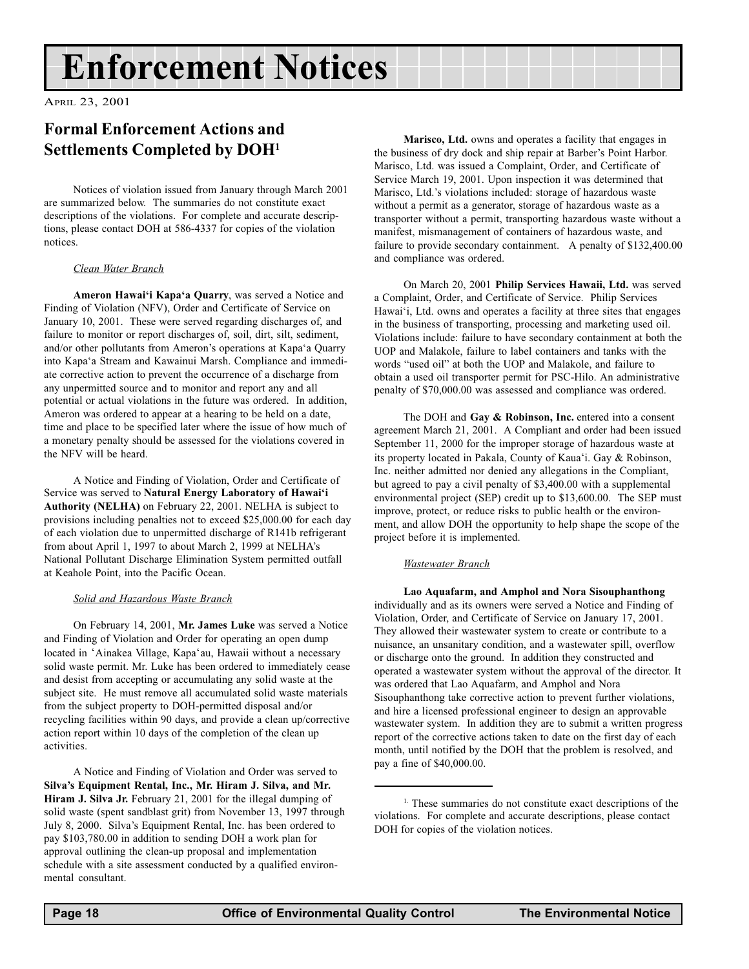## Enforcement Notices

APRIL 23, 2001

### Formal Enforcement Actions and Settlements Completed by DOH1

Notices of violation issued from January through March 2001 are summarized below. The summaries do not constitute exact descriptions of the violations. For complete and accurate descriptions, please contact DOH at 586-4337 for copies of the violation notices.

#### Clean Water Branch

Ameron Hawai'i Kapa'a Quarry, was served a Notice and Finding of Violation (NFV), Order and Certificate of Service on January 10, 2001. These were served regarding discharges of, and failure to monitor or report discharges of, soil, dirt, silt, sediment, and/or other pollutants from Ameron's operations at Kapa'a Quarry into Kapa'a Stream and Kawainui Marsh. Compliance and immediate corrective action to prevent the occurrence of a discharge from any unpermitted source and to monitor and report any and all potential or actual violations in the future was ordered. In addition, Ameron was ordered to appear at a hearing to be held on a date, time and place to be specified later where the issue of how much of a monetary penalty should be assessed for the violations covered in the NFV will be heard.

A Notice and Finding of Violation, Order and Certificate of Service was served to Natural Energy Laboratory of Hawai'i Authority (NELHA) on February 22, 2001. NELHA is subject to provisions including penalties not to exceed \$25,000.00 for each day of each violation due to unpermitted discharge of R141b refrigerant from about April 1, 1997 to about March 2, 1999 at NELHA's National Pollutant Discharge Elimination System permitted outfall at Keahole Point, into the Pacific Ocean.

#### Solid and Hazardous Waste Branch

On February 14, 2001, Mr. James Luke was served a Notice and Finding of Violation and Order for operating an open dump located in 'Ainakea Village, Kapa'au, Hawaii without a necessary solid waste permit. Mr. Luke has been ordered to immediately cease and desist from accepting or accumulating any solid waste at the subject site. He must remove all accumulated solid waste materials from the subject property to DOH-permitted disposal and/or recycling facilities within 90 days, and provide a clean up/corrective action report within 10 days of the completion of the clean up activities.

A Notice and Finding of Violation and Order was served to Silva's Equipment Rental, Inc., Mr. Hiram J. Silva, and Mr. Hiram J. Silva Jr. February 21, 2001 for the illegal dumping of solid waste (spent sandblast grit) from November 13, 1997 through July 8, 2000. Silva's Equipment Rental, Inc. has been ordered to pay \$103,780.00 in addition to sending DOH a work plan for approval outlining the clean-up proposal and implementation schedule with a site assessment conducted by a qualified environmental consultant.

Marisco, Ltd. owns and operates a facility that engages in the business of dry dock and ship repair at Barber's Point Harbor. Marisco, Ltd. was issued a Complaint, Order, and Certificate of Service March 19, 2001. Upon inspection it was determined that Marisco, Ltd.'s violations included: storage of hazardous waste without a permit as a generator, storage of hazardous waste as a transporter without a permit, transporting hazardous waste without a manifest, mismanagement of containers of hazardous waste, and failure to provide secondary containment. A penalty of \$132,400.00 and compliance was ordered.

On March 20, 2001 Philip Services Hawaii, Ltd. was served a Complaint, Order, and Certificate of Service. Philip Services Hawai'i, Ltd. owns and operates a facility at three sites that engages in the business of transporting, processing and marketing used oil. Violations include: failure to have secondary containment at both the UOP and Malakole, failure to label containers and tanks with the words "used oil" at both the UOP and Malakole, and failure to obtain a used oil transporter permit for PSC-Hilo. An administrative penalty of \$70,000.00 was assessed and compliance was ordered.

The DOH and Gay & Robinson, Inc. entered into a consent agreement March 21, 2001. A Compliant and order had been issued September 11, 2000 for the improper storage of hazardous waste at its property located in Pakala, County of Kaua'i. Gay & Robinson, Inc. neither admitted nor denied any allegations in the Compliant, but agreed to pay a civil penalty of \$3,400.00 with a supplemental environmental project (SEP) credit up to \$13,600.00. The SEP must improve, protect, or reduce risks to public health or the environment, and allow DOH the opportunity to help shape the scope of the project before it is implemented.

#### Wastewater Branch

Lao Aquafarm, and Amphol and Nora Sisouphanthong individually and as its owners were served a Notice and Finding of Violation, Order, and Certificate of Service on January 17, 2001. They allowed their wastewater system to create or contribute to a nuisance, an unsanitary condition, and a wastewater spill, overflow or discharge onto the ground. In addition they constructed and operated a wastewater system without the approval of the director. It was ordered that Lao Aquafarm, and Amphol and Nora Sisouphanthong take corrective action to prevent further violations, and hire a licensed professional engineer to design an approvable wastewater system. In addition they are to submit a written progress report of the corrective actions taken to date on the first day of each month, until notified by the DOH that the problem is resolved, and pay a fine of \$40,000.00.

<sup>&</sup>lt;sup>1.</sup> These summaries do not constitute exact descriptions of the violations. For complete and accurate descriptions, please contact DOH for copies of the violation notices.